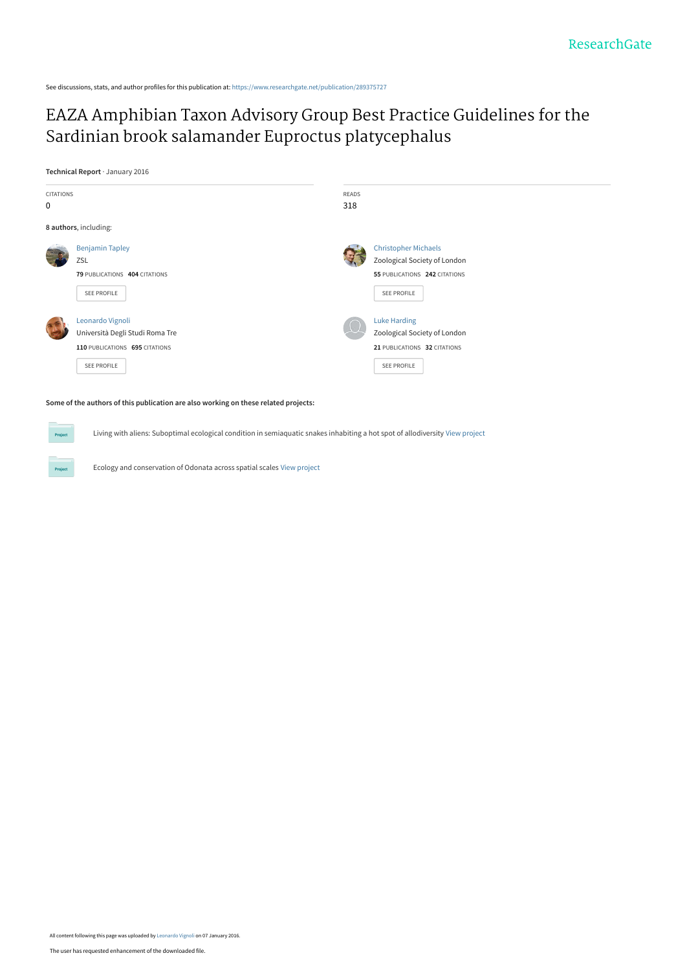See discussions, stats, and author profiles for this publication at: [https://www.researchgate.net/publication/289375727](https://www.researchgate.net/publication/289375727_EAZA_Amphibian_Taxon_Advisory_Group_Best_Practice_Guidelines_for_the_Sardinian_brook_salamander_Euproctus_platycephalus?enrichId=rgreq-a0d8767cc96905751da31714534c0502-XXX&enrichSource=Y292ZXJQYWdlOzI4OTM3NTcyNztBUzozMTUyMTE1MTEyMDU4ODlAMTQ1MjE2MzY4ODc0NQ%3D%3D&el=1_x_2&_esc=publicationCoverPdf)

## [EAZA Amphibian Taxon Advisory Group Best Practice Guidelines for the](https://www.researchgate.net/publication/289375727_EAZA_Amphibian_Taxon_Advisory_Group_Best_Practice_Guidelines_for_the_Sardinian_brook_salamander_Euproctus_platycephalus?enrichId=rgreq-a0d8767cc96905751da31714534c0502-XXX&enrichSource=Y292ZXJQYWdlOzI4OTM3NTcyNztBUzozMTUyMTE1MTEyMDU4ODlAMTQ1MjE2MzY4ODc0NQ%3D%3D&el=1_x_3&_esc=publicationCoverPdf) Sardinian brook salamander Euproctus platycephalus

**Technical Report** · January 2016



#### **Some of the authors of this publication are also working on these related projects:**

Living with aliens: Suboptimal ecological condition in semiaquatic snakes inhabiting a hot spot of allodiversity [View project](https://www.researchgate.net/project/Living-with-aliens-Suboptimal-ecological-condition-in-semiaquatic-snakes-inhabiting-a-hot-spot-of-allodiversity?enrichId=rgreq-a0d8767cc96905751da31714534c0502-XXX&enrichSource=Y292ZXJQYWdlOzI4OTM3NTcyNztBUzozMTUyMTE1MTEyMDU4ODlAMTQ1MjE2MzY4ODc0NQ%3D%3D&el=1_x_9&_esc=publicationCoverPdf)

Ecology and conservation of Odonata across spatial scales [View project](https://www.researchgate.net/project/Ecology-and-conservation-of-Odonata-across-spatial-scales?enrichId=rgreq-a0d8767cc96905751da31714534c0502-XXX&enrichSource=Y292ZXJQYWdlOzI4OTM3NTcyNztBUzozMTUyMTE1MTEyMDU4ODlAMTQ1MjE2MzY4ODc0NQ%3D%3D&el=1_x_9&_esc=publicationCoverPdf)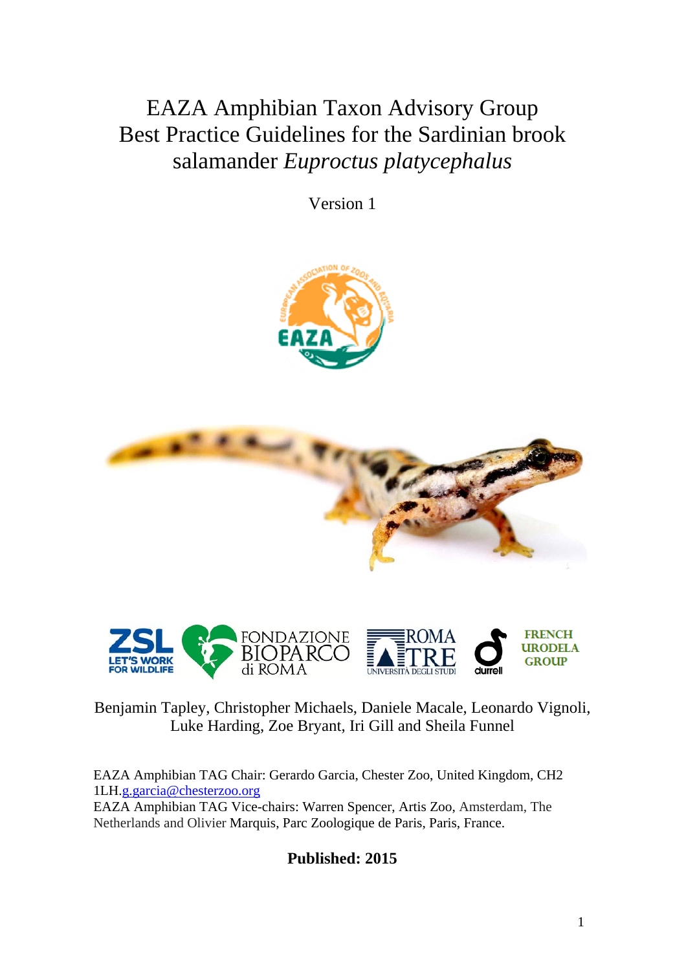EAZA Amphibian Taxon Advisory Group Best Practice Guidelines for the Sardinian brook salamander *Euproctus platycephalus* 

Version 1







## Benjamin Tapley, Christopher Michaels, Daniele Macale, Leonardo Vignoli, Luke Harding, Zoe Bryant, Iri Gill and Sheila Funnel

EAZA Amphibian TAG Chair: Gerardo Garcia, Chester Zoo, United Kingdom, CH2 1LH.g.garcia@chesterzoo.org

EAZA Amphibian TAG Vice-chairs: Warren Spencer, Artis Zoo, Amsterdam, The Netherlands and Olivier Marquis, Parc Zoologique de Paris, Paris, France.

**Published: 2015**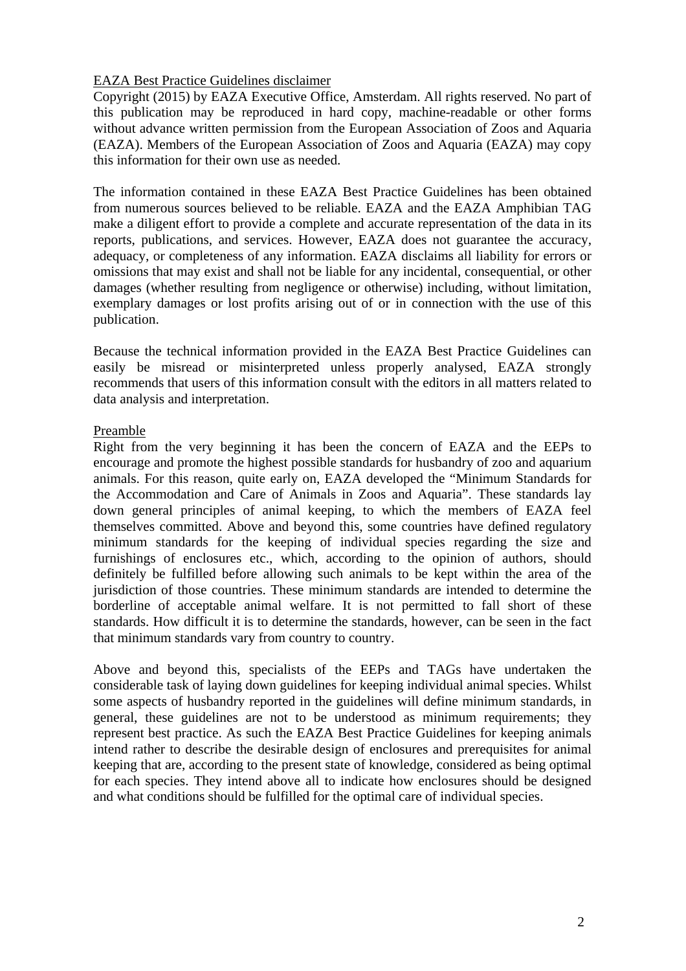## EAZA Best Practice Guidelines disclaimer

Copyright (2015) by EAZA Executive Office, Amsterdam. All rights reserved. No part of this publication may be reproduced in hard copy, machine-readable or other forms without advance written permission from the European Association of Zoos and Aquaria (EAZA). Members of the European Association of Zoos and Aquaria (EAZA) may copy this information for their own use as needed.

The information contained in these EAZA Best Practice Guidelines has been obtained from numerous sources believed to be reliable. EAZA and the EAZA Amphibian TAG make a diligent effort to provide a complete and accurate representation of the data in its reports, publications, and services. However, EAZA does not guarantee the accuracy, adequacy, or completeness of any information. EAZA disclaims all liability for errors or omissions that may exist and shall not be liable for any incidental, consequential, or other damages (whether resulting from negligence or otherwise) including, without limitation, exemplary damages or lost profits arising out of or in connection with the use of this publication.

Because the technical information provided in the EAZA Best Practice Guidelines can easily be misread or misinterpreted unless properly analysed, EAZA strongly recommends that users of this information consult with the editors in all matters related to data analysis and interpretation.

### Preamble

Right from the very beginning it has been the concern of EAZA and the EEPs to encourage and promote the highest possible standards for husbandry of zoo and aquarium animals. For this reason, quite early on, EAZA developed the "Minimum Standards for the Accommodation and Care of Animals in Zoos and Aquaria". These standards lay down general principles of animal keeping, to which the members of EAZA feel themselves committed. Above and beyond this, some countries have defined regulatory minimum standards for the keeping of individual species regarding the size and furnishings of enclosures etc., which, according to the opinion of authors, should definitely be fulfilled before allowing such animals to be kept within the area of the jurisdiction of those countries. These minimum standards are intended to determine the borderline of acceptable animal welfare. It is not permitted to fall short of these standards. How difficult it is to determine the standards, however, can be seen in the fact that minimum standards vary from country to country.

Above and beyond this, specialists of the EEPs and TAGs have undertaken the considerable task of laying down guidelines for keeping individual animal species. Whilst some aspects of husbandry reported in the guidelines will define minimum standards, in general, these guidelines are not to be understood as minimum requirements; they represent best practice. As such the EAZA Best Practice Guidelines for keeping animals intend rather to describe the desirable design of enclosures and prerequisites for animal keeping that are, according to the present state of knowledge, considered as being optimal for each species. They intend above all to indicate how enclosures should be designed and what conditions should be fulfilled for the optimal care of individual species.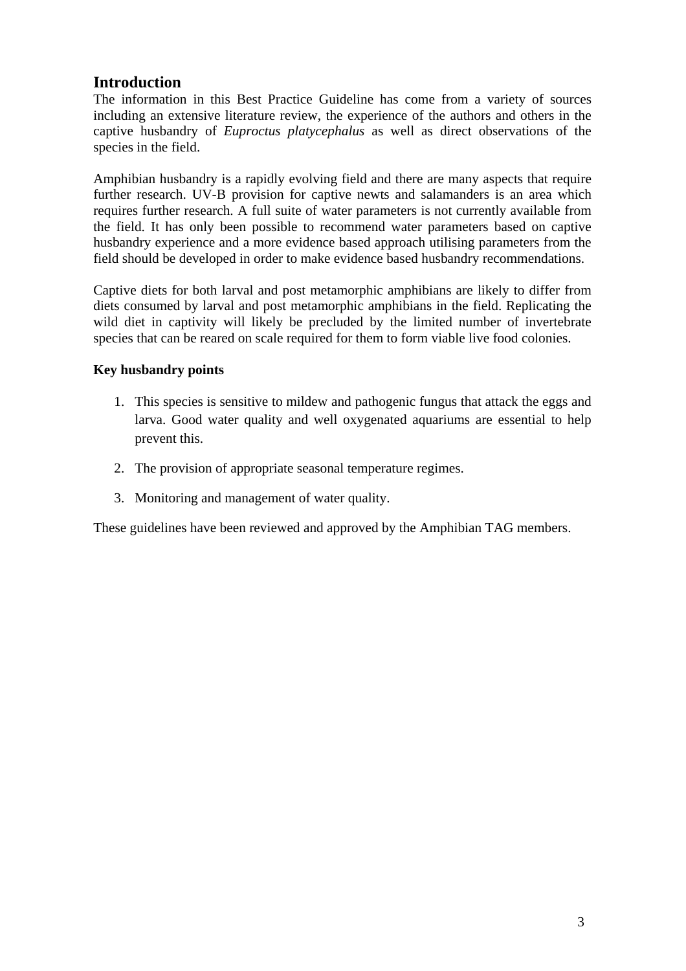## **Introduction**

The information in this Best Practice Guideline has come from a variety of sources including an extensive literature review, the experience of the authors and others in the captive husbandry of *Euproctus platycephalus* as well as direct observations of the species in the field.

Amphibian husbandry is a rapidly evolving field and there are many aspects that require further research. UV-B provision for captive newts and salamanders is an area which requires further research. A full suite of water parameters is not currently available from the field. It has only been possible to recommend water parameters based on captive husbandry experience and a more evidence based approach utilising parameters from the field should be developed in order to make evidence based husbandry recommendations.

Captive diets for both larval and post metamorphic amphibians are likely to differ from diets consumed by larval and post metamorphic amphibians in the field. Replicating the wild diet in captivity will likely be precluded by the limited number of invertebrate species that can be reared on scale required for them to form viable live food colonies.

## **Key husbandry points**

- 1. This species is sensitive to mildew and pathogenic fungus that attack the eggs and larva. Good water quality and well oxygenated aquariums are essential to help prevent this.
- 2. The provision of appropriate seasonal temperature regimes.
- 3. Monitoring and management of water quality.

These guidelines have been reviewed and approved by the Amphibian TAG members.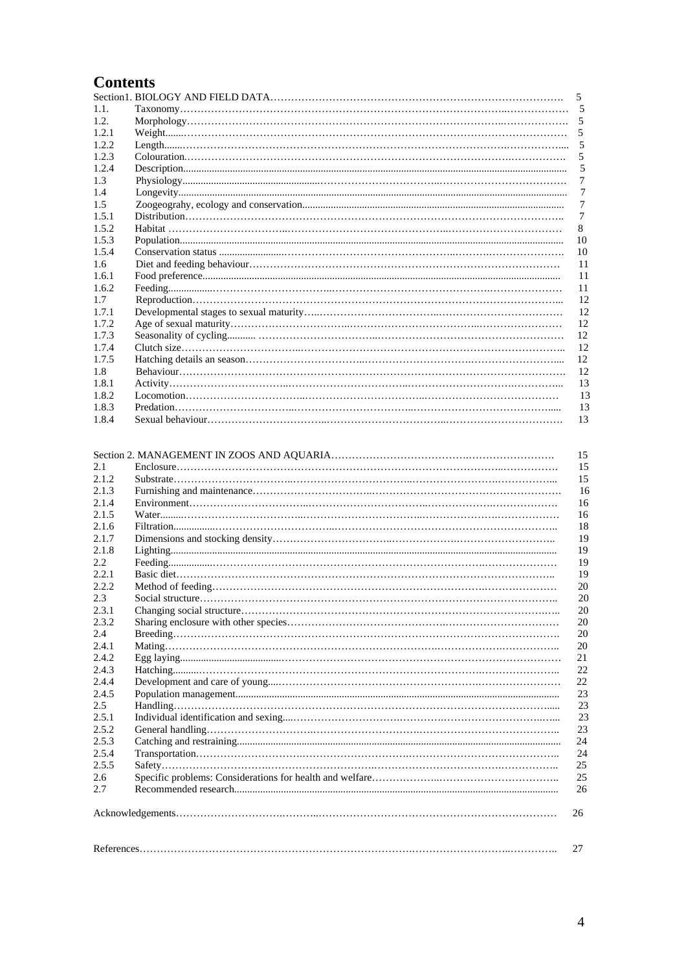# **Contents**

|        | .5 |
|--------|----|
| 1.1.   | 5  |
| 1.2.   |    |
| 1.2.1  |    |
| 1.2.2. | 5  |
| 1.2.3  | 5  |
| 1.2.4  | 5  |
| 1.3    | 7  |
| 1.4    | 7  |
| 1.5    | 7  |
| 1.5.1  | 7  |
| 1.5.2  | 8  |
| 1.5.3  | 10 |
| 1.5.4  | 10 |
| 1.6    | 11 |
| 1.6.1  | 11 |
| 1.6.2  | 11 |
| 1.7    | 12 |
| 1.7.1  | 12 |
| 1.7.2  | 12 |
| 1.7.3  | 12 |
| 1.7.4  | 12 |
| 1.7.5  | 12 |
| 1.8    | 12 |
| 1.8.1  | 13 |
| 1.8.2  | 13 |
| 1.8.3  | 13 |
| 1.8.4  | 13 |

|       | 15 |
|-------|----|
| 2.1   | 15 |
| 2.1.2 | 15 |
| 2.1.3 | 16 |
| 2.1.4 | 16 |
| 2.1.5 | 16 |
| 2.1.6 | 18 |
| 2.1.7 | 19 |
| 2.1.8 | 19 |
| 2.2   | 19 |
| 2.2.1 | 19 |
| 2.2.2 | 20 |
| 2.3   | 20 |
| 2.3.1 | 20 |
| 2.3.2 | 20 |
| 2.4   | 20 |
| 2.4.1 | 20 |
| 2.4.2 | 21 |
| 2.4.3 | 22 |
| 2.4.4 | 22 |
| 2.4.5 | 23 |
| 2.5   | 23 |
| 2.5.1 | 23 |
| 2.5.2 | 23 |
| 2.5.3 | 24 |
| 2.5.4 | 24 |
| 2.5.5 | 25 |
| 2.6   | 25 |
| 2.7   | 26 |
|       | 26 |
|       | 27 |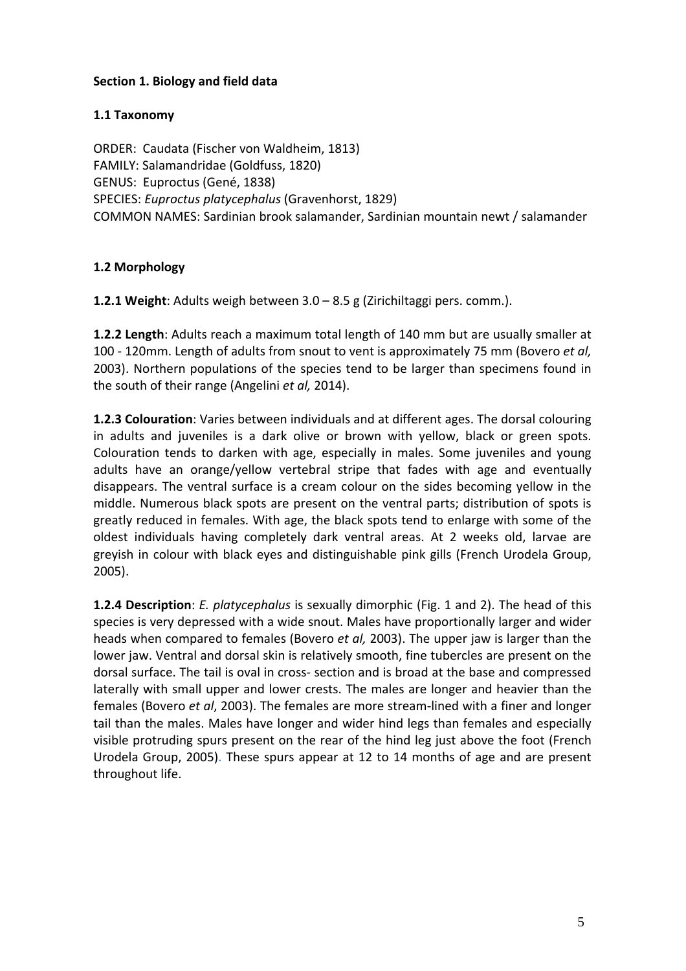## **Section 1. Biology and field data**

## **1.1 Taxonomy**

ORDER: Caudata (Fischer von Waldheim, 1813) FAMILY: Salamandridae (Goldfuss, 1820) GENUS: Euproctus (Gené, 1838) SPECIES: *Euproctus platycephalus* (Gravenhorst, 1829) COMMON NAMES: Sardinian brook salamander, Sardinian mountain newt / salamander

## **1.2 Morphology**

**1.2.1 Weight**: Adults weigh between 3.0 – 8.5 g (Zirichiltaggi pers. comm.).

**1.2.2 Length**: Adults reach a maximum total length of 140 mm but are usually smaller at 100 ‐ 120mm. Length of adults from snout to vent is approximately 75 mm (Bovero *et al,* 2003). Northern populations of the species tend to be larger than specimens found in the south of their range (Angelini *et al,* 2014).

**1.2.3 Colouration**: Varies between individuals and at different ages. The dorsal colouring in adults and juveniles is a dark olive or brown with yellow, black or green spots. Colouration tends to darken with age, especially in males. Some juveniles and young adults have an orange/yellow vertebral stripe that fades with age and eventually disappears. The ventral surface is a cream colour on the sides becoming yellow in the middle. Numerous black spots are present on the ventral parts; distribution of spots is greatly reduced in females. With age, the black spots tend to enlarge with some of the oldest individuals having completely dark ventral areas. At 2 weeks old, larvae are greyish in colour with black eyes and distinguishable pink gills (French Urodela Group, 2005).

**1.2.4 Description**: *E. platycephalus* is sexually dimorphic (Fig. 1 and 2). The head of this species is very depressed with a wide snout. Males have proportionally larger and wider heads when compared to females (Bovero *et al,* 2003). The upper jaw is larger than the lower jaw. Ventral and dorsal skin is relatively smooth, fine tubercles are present on the dorsal surface. The tail is oval in cross‐ section and is broad at the base and compressed laterally with small upper and lower crests. The males are longer and heavier than the females (Bovero *et al*, 2003). The females are more stream‐lined with a finer and longer tail than the males. Males have longer and wider hind legs than females and especially visible protruding spurs present on the rear of the hind leg just above the foot (French Urodela Group, 2005). These spurs appear at 12 to 14 months of age and are present throughout life.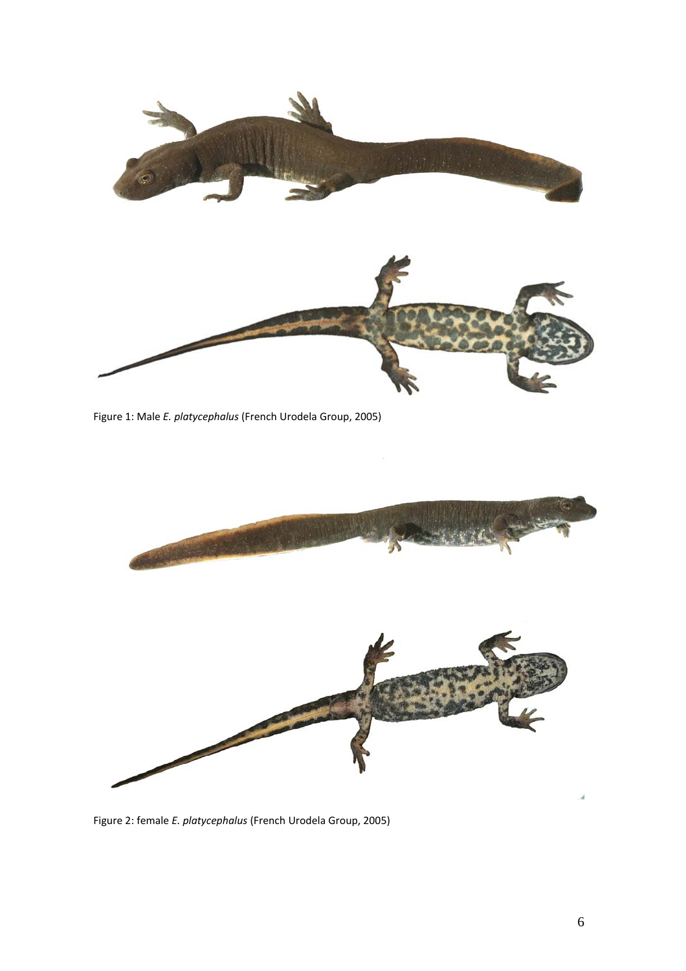

Figure 1: Male *E. platycephalus* (French Urodela Group, 2005)



ó.

Figure 2: female *E. platycephalus* (French Urodela Group, 2005)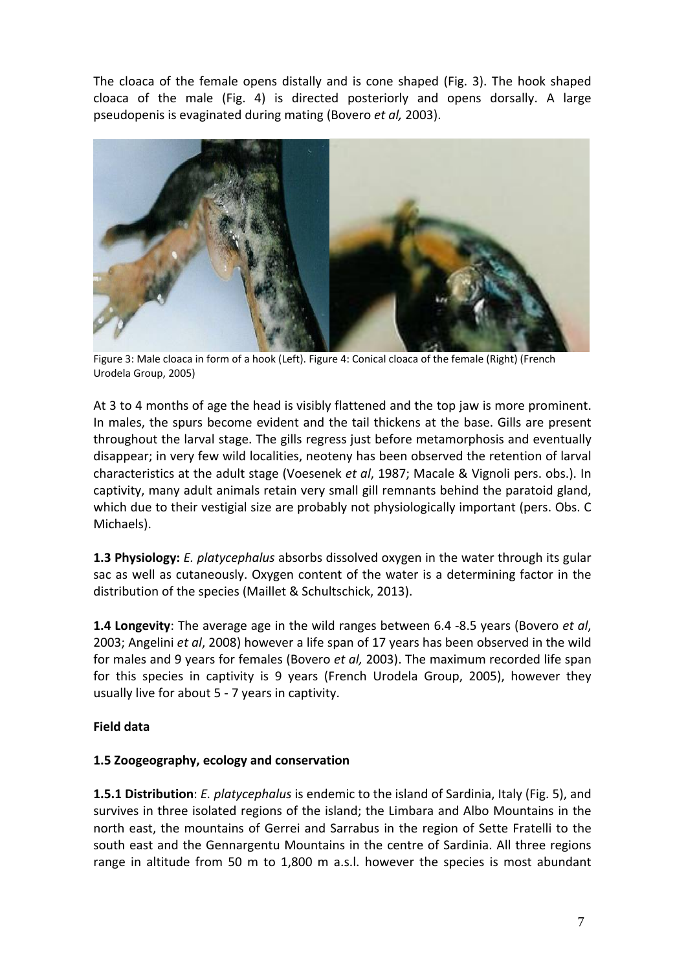The cloaca of the female opens distally and is cone shaped (Fig. 3). The hook shaped cloaca of the male (Fig. 4) is directed posteriorly and opens dorsally. A large pseudopenis is evaginated during mating (Bovero *et al,* 2003).



 Figure 3: Male cloaca in form of <sup>a</sup> hook (Left). Figure 4: Conical cloaca of the female (Right) (French Urodela Group, 2005)

At 3 to 4 months of age the head is visibly flattened and the top jaw is more prominent. In males, the spurs become evident and the tail thickens at the base. Gills are present throughout the larval stage. The gills regress just before metamorphosis and eventually disappear; in very few wild localities, neoteny has been observed the retention of larval characteristics at the adult stage (Voesenek *et al*, 1987; Macale & Vignoli pers. obs.). In captivity, many adult animals retain very small gill remnants behind the paratoid gland, which due to their vestigial size are probably not physiologically important (pers. Obs. C Michaels).

**1.3 Physiology:** *E. platycephalus* absorbs dissolved oxygen in the water through its gular sac as well as cutaneously. Oxygen content of the water is a determining factor in the distribution of the species (Maillet & Schultschick, 2013).

**1.4 Longevity**: The average age in the wild ranges between 6.4 ‐8.5 years (Bovero *et al*, 2003; Angelini *et al*, 2008) however a life span of 17 years has been observed in the wild for males and 9 years for females (Bovero *et al,* 2003). The maximum recorded life span for this species in captivity is 9 years (French Urodela Group, 2005), however they usually live for about 5 ‐ 7 years in captivity.

## **Field data**

## **1.5 Zoogeography, ecology and conservation**

**1.5.1 Distribution**: *E. platycephalus* is endemic to the island of Sardinia, Italy (Fig. 5), and survives in three isolated regions of the island; the Limbara and Albo Mountains in the north east, the mountains of Gerrei and Sarrabus in the region of Sette Fratelli to the south east and the Gennargentu Mountains in the centre of Sardinia. All three regions range in altitude from 50 m to 1,800 m a.s.l. however the species is most abundant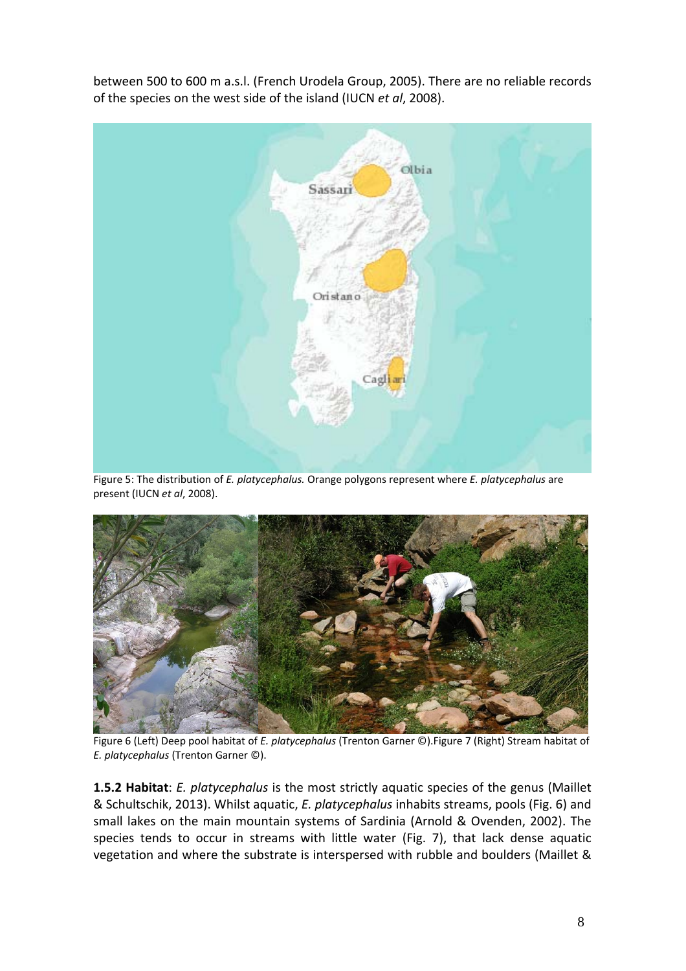between 500 to 600 m a.s.l. (French Urodela Group, 2005). There are no reliable records of the species on the west side of the island (IUCN *et al*, 2008).



Figure 5: The distribution of *E. platycephalus.* Orange polygons represent where *E. platycephalus* are present (IUCN *et al*, 2008).



Figure 6 (Left) Deep pool habitat of *E. platycephalus* (Trenton Garner ©).Figure 7 (Right) Stream habitat of *E. platycephalus* (Trenton Garner ©).

**1.5.2 Habitat**: *E. platycephalus* is the most strictly aquatic species of the genus (Maillet & Schultschik, 2013). Whilst aquatic, *E. platycephalus* inhabits streams, pools (Fig. 6) and small lakes on the main mountain systems of Sardinia (Arnold & Ovenden, 2002). The species tends to occur in streams with little water (Fig. 7), that lack dense aquatic vegetation and where the substrate is interspersed with rubble and boulders (Maillet &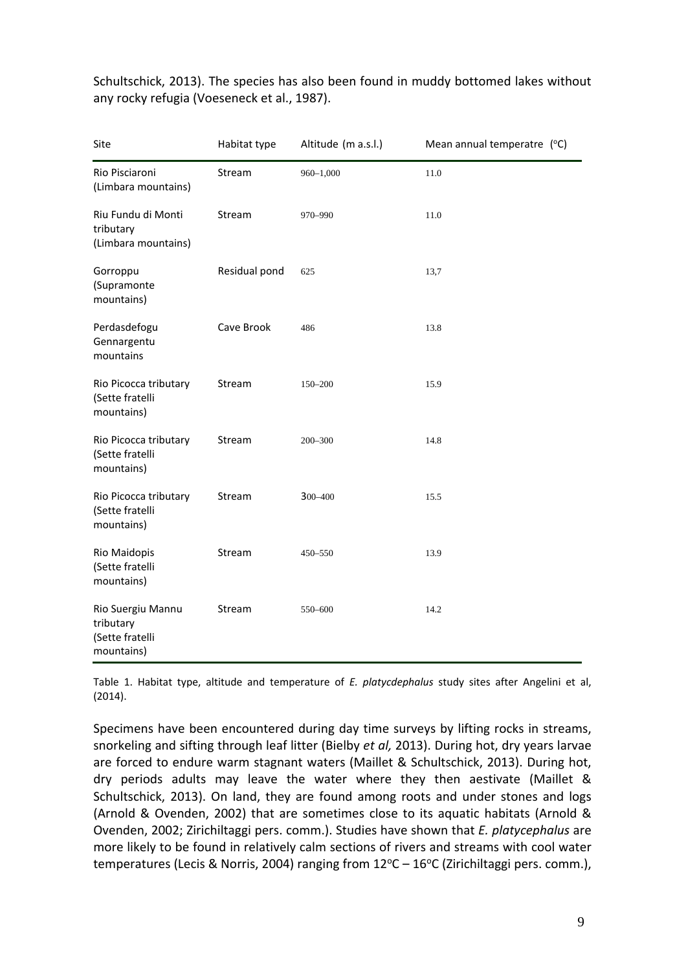| Site                                                            | Habitat type  | Altitude (m a.s.l.) | Mean annual temperatre (°C) |
|-----------------------------------------------------------------|---------------|---------------------|-----------------------------|
| Rio Pisciaroni<br>(Limbara mountains)                           | Stream        | $960 - 1,000$       | 11.0                        |
| Riu Fundu di Monti<br>tributary<br>(Limbara mountains)          | Stream        | 970-990             | 11.0                        |
| Gorroppu<br>(Supramonte<br>mountains)                           | Residual pond | 625                 | 13,7                        |
| Perdasdefogu<br>Gennargentu<br>mountains                        | Cave Brook    | 486                 | 13.8                        |
| Rio Picocca tributary<br>(Sette fratelli<br>mountains)          | Stream        | 150-200             | 15.9                        |
| Rio Picocca tributary<br>(Sette fratelli<br>mountains)          | Stream        | 200-300             | 14.8                        |
| Rio Picocca tributary<br>(Sette fratelli<br>mountains)          | Stream        | 300-400             | 15.5                        |
| Rio Maidopis<br>(Sette fratelli<br>mountains)                   | Stream        | 450-550             | 13.9                        |
| Rio Suergiu Mannu<br>tributary<br>(Sette fratelli<br>mountains) | Stream        | 550-600             | 14.2                        |

Schultschick, 2013). The species has also been found in muddy bottomed lakes without any rocky refugia (Voeseneck et al., 1987).

Table 1. Habitat type, altitude and temperature of *E. platycdephalus* study sites after Angelini et al, (2014).

Specimens have been encountered during day time surveys by lifting rocks in streams, snorkeling and sifting through leaf litter (Bielby *et al,* 2013). During hot, dry years larvae are forced to endure warm stagnant waters (Maillet & Schultschick, 2013). During hot, dry periods adults may leave the water where they then aestivate (Maillet & Schultschick, 2013). On land, they are found among roots and under stones and logs (Arnold & Ovenden, 2002) that are sometimes close to its aquatic habitats (Arnold & Ovenden, 2002; Zirichiltaggi pers. comm.). Studies have shown that *E. platycephalus* are more likely to be found in relatively calm sections of rivers and streams with cool water temperatures (Lecis & Norris, 2004) ranging from  $12^{\circ}$ C –  $16^{\circ}$ C (Zirichiltaggi pers. comm.),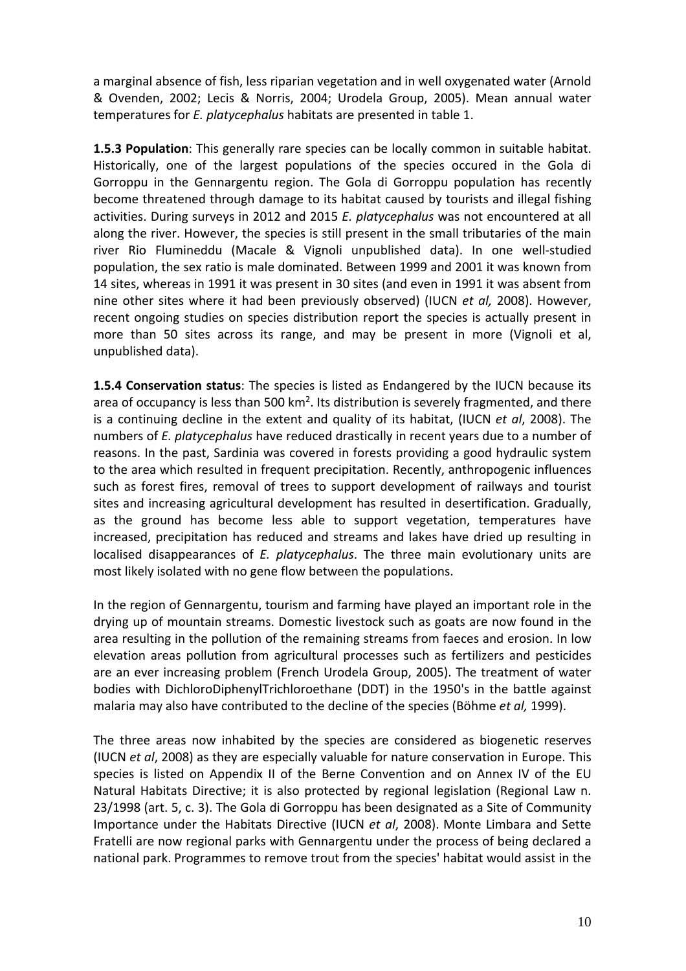a marginal absence of fish, less riparian vegetation and in well oxygenated water (Arnold & Ovenden, 2002; Lecis & Norris, 2004; Urodela Group, 2005). Mean annual water temperatures for *E. platycephalus* habitats are presented in table 1.

**1.5.3 Population**: This generally rare species can be locally common in suitable habitat. Historically, one of the largest populations of the species occured in the Gola di Gorroppu in the Gennargentu region. The Gola di Gorroppu population has recently become threatened through damage to its habitat caused by tourists and illegal fishing activities. During surveys in 2012 and 2015 *E. platycephalus* was not encountered at all along the river. However, the species is still present in the small tributaries of the main river Rio Flumineddu (Macale & Vignoli unpublished data). In one well‐studied population, the sex ratio is male dominated. Between 1999 and 2001 it was known from 14 sites, whereas in 1991 it was present in 30 sites (and even in 1991 it was absent from nine other sites where it had been previously observed) (IUCN *et al,* 2008). However, recent ongoing studies on species distribution report the species is actually present in more than 50 sites across its range, and may be present in more (Vignoli et al, unpublished data).

**1.5.4 Conservation status**: The species is listed as Endangered by the IUCN because its area of occupancy is less than 500 km<sup>2</sup>. Its distribution is severely fragmented, and there is a continuing decline in the extent and quality of its habitat, (IUCN *et al*, 2008). The numbers of *E. platycephalus* have reduced drastically in recent years due to a number of reasons. In the past, Sardinia was covered in forests providing a good hydraulic system to the area which resulted in frequent precipitation. Recently, anthropogenic influences such as forest fires, removal of trees to support development of railways and tourist sites and increasing agricultural development has resulted in desertification. Gradually, as the ground has become less able to support vegetation, temperatures have increased, precipitation has reduced and streams and lakes have dried up resulting in localised disappearances of *E. platycephalus*. The three main evolutionary units are most likely isolated with no gene flow between the populations.

In the region of Gennargentu, tourism and farming have played an important role in the drying up of mountain streams. Domestic livestock such as goats are now found in the area resulting in the pollution of the remaining streams from faeces and erosion. In low elevation areas pollution from agricultural processes such as fertilizers and pesticides are an ever increasing problem (French Urodela Group, 2005). The treatment of water bodies with DichloroDiphenylTrichloroethane (DDT) in the 1950's in the battle against malaria may also have contributed to the decline of the species (Böhme *et al,* 1999).

The three areas now inhabited by the species are considered as biogenetic reserves (IUCN *et al*, 2008) as they are especially valuable for nature conservation in Europe. This species is listed on Appendix II of the Berne Convention and on Annex IV of the EU Natural Habitats Directive; it is also protected by regional legislation (Regional Law n. 23/1998 (art. 5, c. 3). The Gola di Gorroppu has been designated as a Site of Community Importance under the Habitats Directive (IUCN *et al*, 2008). Monte Limbara and Sette Fratelli are now regional parks with Gennargentu under the process of being declared a national park. Programmes to remove trout from the species' habitat would assist in the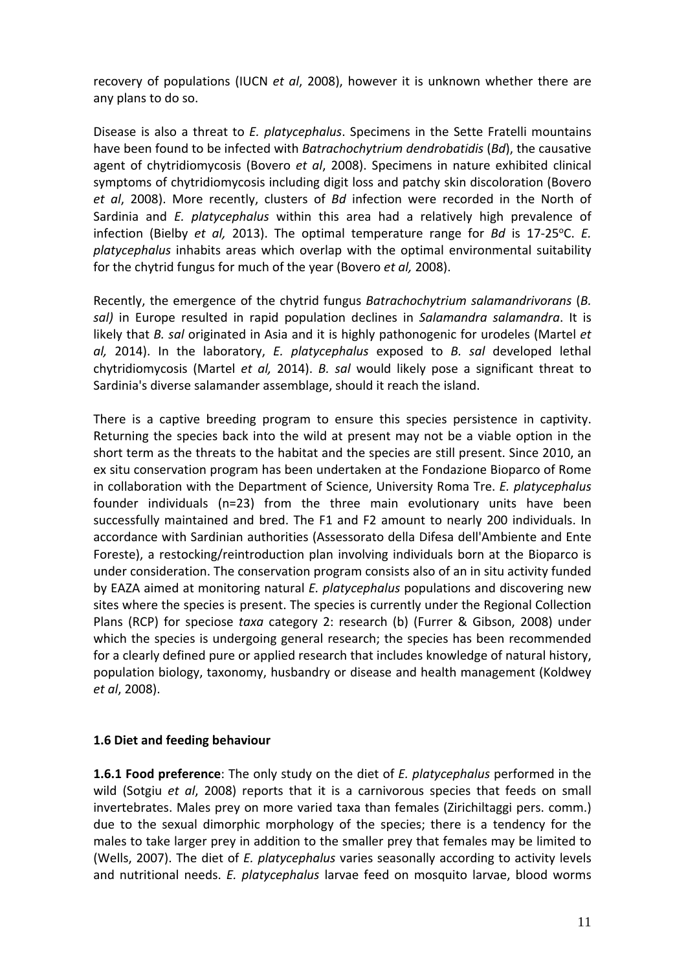recovery of populations (IUCN *et al*, 2008), however it is unknown whether there are any plans to do so.

Disease is also a threat to *E. platycephalus*. Specimens in the Sette Fratelli mountains have been found to be infected with *Batrachochytrium dendrobatidis* (*Bd*), the causative agent of chytridiomycosis (Bovero *et al*, 2008). Specimens in nature exhibited clinical symptoms of chytridiomycosis including digit loss and patchy skin discoloration (Bovero *et al*, 2008). More recently, clusters of *Bd* infection were recorded in the North of Sardinia and *E. platycephalus* within this area had a relatively high prevalence of infection (Bielby *et al,* 2013). The optimal temperature range for *Bd* is 17-25 °C. *E. platycephalus* inhabits areas which overlap with the optimal environmental suitability for the chytrid fungus for much of the year (Bovero *et al,* 2008).

Recently, the emergence of the chytrid fungus *Batrachochytrium salamandrivorans* (*B. sal)* in Europe resulted in rapid population declines in *Salamandra salamandra*. It is likely that *B. sal* originated in Asia and it is highly pathonogenic for urodeles (Martel *et al,* 2014). In the laboratory, *E. platycephalus* exposed to *B. sal* developed lethal chytridiomycosis (Martel *et al,* 2014). *B. sal* would likely pose a significant threat to Sardinia's diverse salamander assemblage, should it reach the island.

There is a captive breeding program to ensure this species persistence in captivity. Returning the species back into the wild at present may not be a viable option in the short term as the threats to the habitat and the species are still present. Since 2010, an ex situ conservation program has been undertaken at the Fondazione Bioparco of Rome in collaboration with the Department of Science, University Roma Tre. *E. platycephalus* founder individuals (n=23) from the three main evolutionary units have been successfully maintained and bred. The F1 and F2 amount to nearly 200 individuals. In accordance with Sardinian authorities (Assessorato della Difesa dell'Ambiente and Ente Foreste), a restocking/reintroduction plan involving individuals born at the Bioparco is under consideration. The conservation program consists also of an in situ activity funded by EAZA aimed at monitoring natural *E. platycephalus* populations and discovering new sites where the species is present. The species is currently under the Regional Collection Plans (RCP) for speciose *taxa* category 2: research (b) (Furrer & Gibson, 2008) under which the species is undergoing general research; the species has been recommended for a clearly defined pure or applied research that includes knowledge of natural history, population biology, taxonomy, husbandry or disease and health management (Koldwey *et al*, 2008).

#### **1.6 Diet and feeding behaviour**

**1.6.1 Food preference**: The only study on the diet of *E. platycephalus* performed in the wild (Sotgiu *et al*, 2008) reports that it is a carnivorous species that feeds on small invertebrates. Males prey on more varied taxa than females (Zirichiltaggi pers. comm.) due to the sexual dimorphic morphology of the species; there is a tendency for the males to take larger prey in addition to the smaller prey that females may be limited to (Wells, 2007). The diet of *E. platycephalus* varies seasonally according to activity levels and nutritional needs. *E. platycephalus* larvae feed on mosquito larvae, blood worms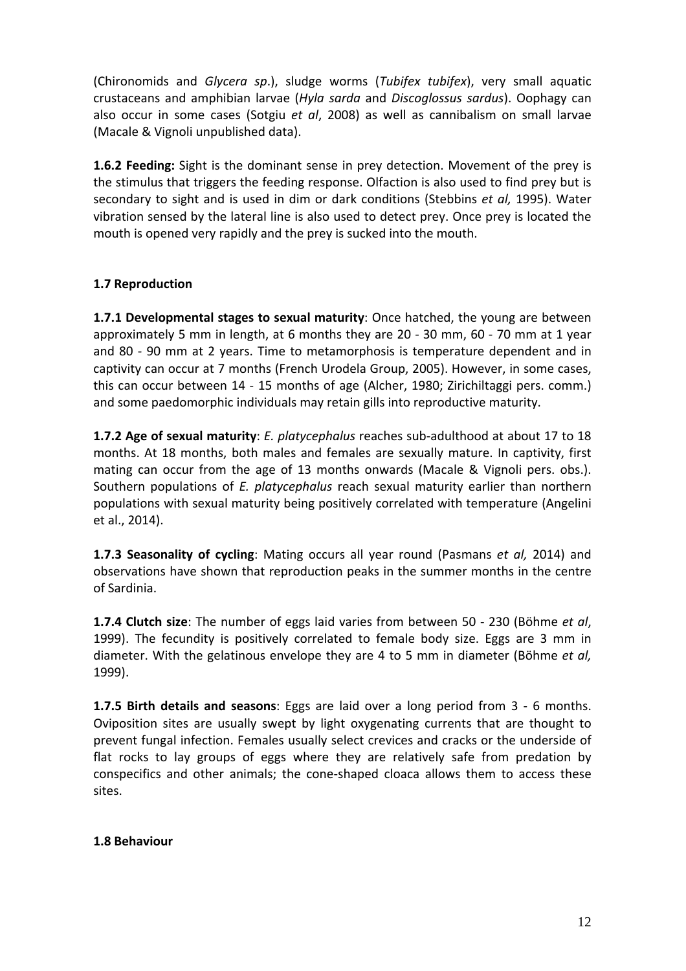(Chironomids and *Glycera sp*.), sludge worms (*Tubifex tubifex*), very small aquatic crustaceans and amphibian larvae (*Hyla sarda* and *Discoglossus sardus*). Oophagy can also occur in some cases (Sotgiu *et al*, 2008) as well as cannibalism on small larvae (Macale & Vignoli unpublished data).

**1.6.2 Feeding:** Sight is the dominant sense in prey detection. Movement of the prey is the stimulus that triggers the feeding response. Olfaction is also used to find prey but is secondary to sight and is used in dim or dark conditions (Stebbins *et al,* 1995). Water vibration sensed by the lateral line is also used to detect prey. Once prey is located the mouth is opened very rapidly and the prey is sucked into the mouth.

## **1.7 Reproduction**

**1.7.1 Developmental stages to sexual maturity**: Once hatched, the young are between approximately 5 mm in length, at 6 months they are 20 ‐ 30 mm, 60 ‐ 70 mm at 1 year and 80 - 90 mm at 2 years. Time to metamorphosis is temperature dependent and in captivity can occur at 7 months (French Urodela Group, 2005). However, in some cases, this can occur between 14 ‐ 15 months of age (Alcher, 1980; Zirichiltaggi pers. comm.) and some paedomorphic individuals may retain gills into reproductive maturity.

**1.7.2 Age of sexual maturity**: *E. platycephalus* reaches sub‐adulthood at about 17 to 18 months. At 18 months, both males and females are sexually mature. In captivity, first mating can occur from the age of 13 months onwards (Macale & Vignoli pers. obs.). Southern populations of *E. platycephalus* reach sexual maturity earlier than northern populations with sexual maturity being positively correlated with temperature (Angelini et al., 2014).

**1.7.3 Seasonality of cycling**: Mating occurs all year round (Pasmans *et al,* 2014) and observations have shown that reproduction peaks in the summer months in the centre of Sardinia.

**1.7.4 Clutch size**: The number of eggs laid varies from between 50 ‐ 230 (Böhme *et al*, 1999). The fecundity is positively correlated to female body size. Eggs are 3 mm in diameter. With the gelatinous envelope they are 4 to 5 mm in diameter (Böhme *et al,* 1999).

**1.7.5 Birth details and seasons**: Eggs are laid over a long period from 3 ‐ 6 months. Oviposition sites are usually swept by light oxygenating currents that are thought to prevent fungal infection. Females usually select crevices and cracks or the underside of flat rocks to lay groups of eggs where they are relatively safe from predation by conspecifics and other animals; the cone‐shaped cloaca allows them to access these sites.

## **1.8 Behaviour**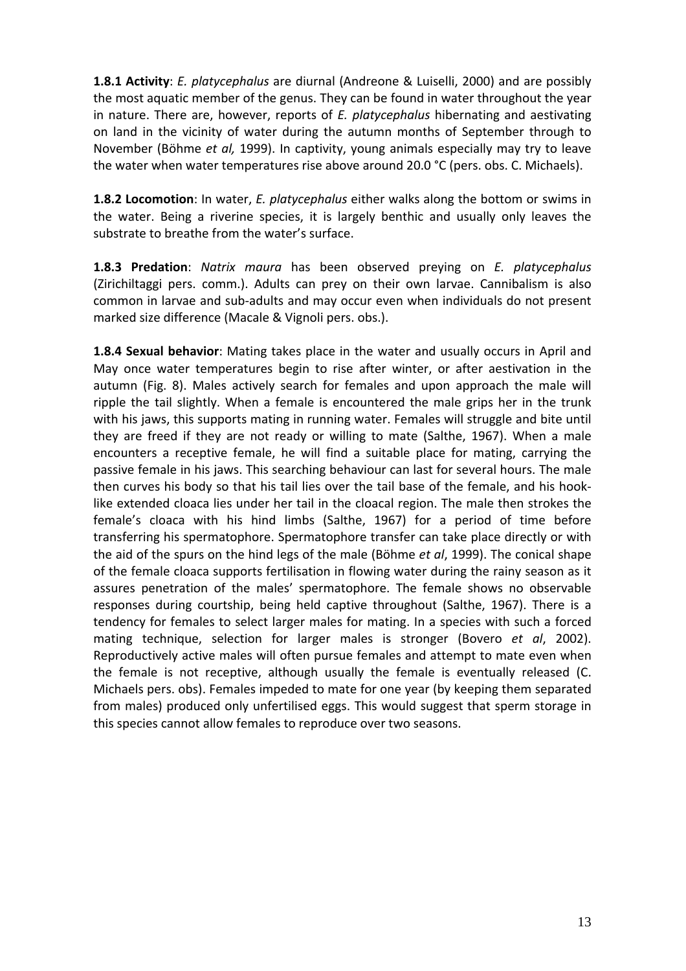**1.8.1 Activity**: *E. platycephalus* are diurnal (Andreone & Luiselli, 2000) and are possibly the most aquatic member of the genus. They can be found in water throughout the year in nature. There are, however, reports of *E. platycephalus* hibernating and aestivating on land in the vicinity of water during the autumn months of September through to November (Böhme *et al,* 1999). In captivity, young animals especially may try to leave the water when water temperatures rise above around 20.0 °C (pers. obs. C. Michaels).

**1.8.2 Locomotion**: In water, *E. platycephalus* either walks along the bottom or swims in the water. Being a riverine species, it is largely benthic and usually only leaves the substrate to breathe from the water's surface.

**1.8.3 Predation**: *Natrix maura* has been observed preying on *E. platycephalus* (Zirichiltaggi pers. comm.). Adults can prey on their own larvae. Cannibalism is also common in larvae and sub‐adults and may occur even when individuals do not present marked size difference (Macale & Vignoli pers. obs.).

**1.8.4 Sexual behavior**: Mating takes place in the water and usually occurs in April and May once water temperatures begin to rise after winter, or after aestivation in the autumn (Fig. 8). Males actively search for females and upon approach the male will ripple the tail slightly. When a female is encountered the male grips her in the trunk with his jaws, this supports mating in running water. Females will struggle and bite until they are freed if they are not ready or willing to mate (Salthe, 1967). When a male encounters a receptive female, he will find a suitable place for mating, carrying the passive female in his jaws. This searching behaviour can last for several hours. The male then curves his body so that his tail lies over the tail base of the female, and his hook‐ like extended cloaca lies under her tail in the cloacal region. The male then strokes the female's cloaca with his hind limbs (Salthe, 1967) for a period of time before transferring his spermatophore. Spermatophore transfer can take place directly or with the aid of the spurs on the hind legs of the male (Böhme *et al*, 1999). The conical shape of the female cloaca supports fertilisation in flowing water during the rainy season as it assures penetration of the males' spermatophore. The female shows no observable responses during courtship, being held captive throughout (Salthe, 1967). There is a tendency for females to select larger males for mating. In a species with such a forced mating technique, selection for larger males is stronger (Bovero *et al*, 2002). Reproductively active males will often pursue females and attempt to mate even when the female is not receptive, although usually the female is eventually released (C. Michaels pers. obs). Females impeded to mate for one year (by keeping them separated from males) produced only unfertilised eggs. This would suggest that sperm storage in this species cannot allow females to reproduce over two seasons.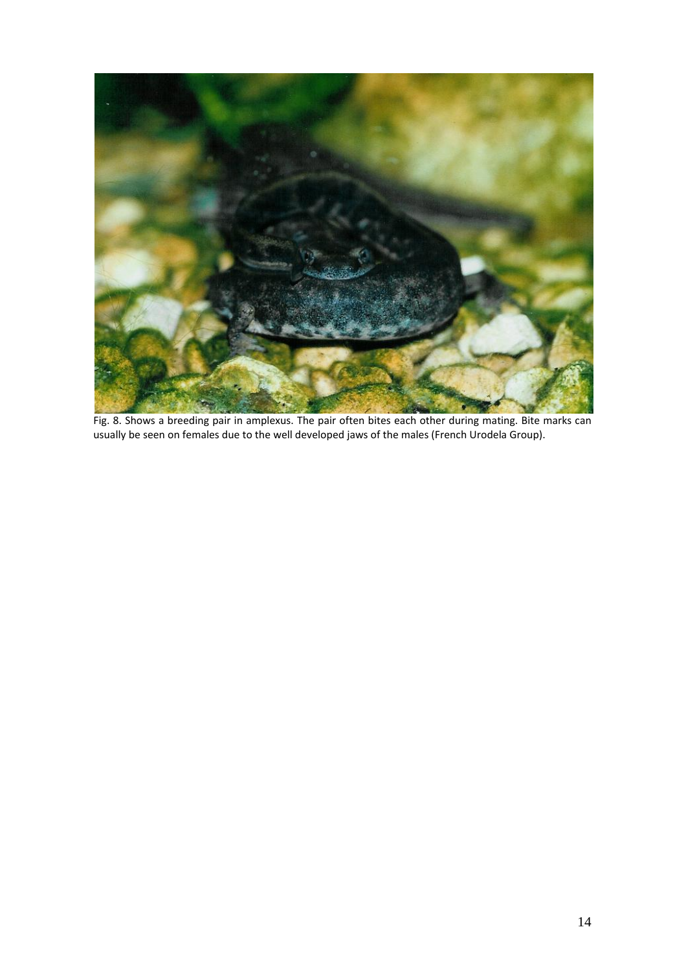

Fig. 8. Shows a breeding pair in amplexus. The pair often bites each other during mating. Bite marks can usually be seen on females due to the well developed jaws of the males (French Urodela Group).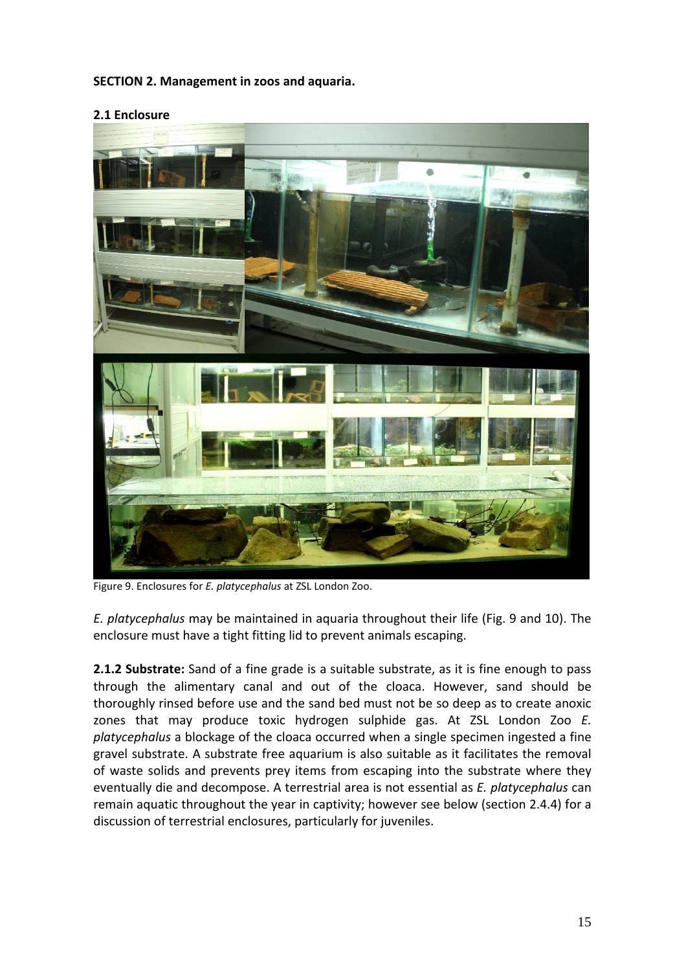## **SECTION 2. Management in zoos and aquaria.**



### **2.1 Enclosure**

Figure 9. Enclosures for *E. platycephalus* at ZSL London Zoo.

*E. platycephalus* may be maintained in aquaria throughout their life (Fig. 9 and 10). The enclosure must have a tight fitting lid to prevent animals escaping.

**2.1.2 Substrate:** Sand of a fine grade is a suitable substrate, as it is fine enough to pass through the alimentary canal and out of the cloaca. However, sand should be thoroughly rinsed before use and the sand bed must not be so deep as to create anoxic zones that may produce toxic hydrogen sulphide gas. At ZSL London Zoo *E. platycephalus* a blockage of the cloaca occurred when a single specimen ingested a fine gravel substrate. A substrate free aquarium is also suitable as it facilitates the removal of waste solids and prevents prey items from escaping into the substrate where they eventually die and decompose. A terrestrial area is not essential as *E. platycephalus* can remain aquatic throughout the year in captivity; however see below (section 2.4.4) for a discussion of terrestrial enclosures, particularly for juveniles.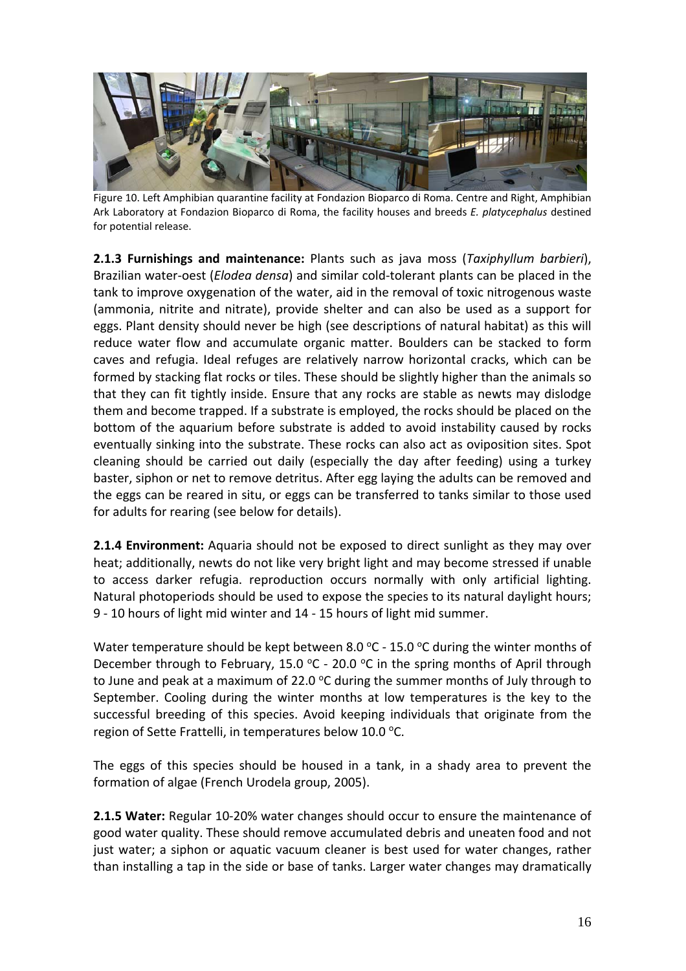

Figure 10. Left Amphibian quarantine facility at Fondazion Bioparco di Roma. Centre and Right, Amphibian Ark Laboratory at Fondazion Bioparco di Roma, the facility houses and breeds *E. platycephalus* destined for potential release.

**2.1.3 Furnishings and maintenance:** Plants such as java moss (*Taxiphyllum barbieri*), Brazilian water‐oest (*Elodea densa*) and similar cold‐tolerant plants can be placed in the tank to improve oxygenation of the water, aid in the removal of toxic nitrogenous waste (ammonia, nitrite and nitrate), provide shelter and can also be used as a support for eggs. Plant density should never be high (see descriptions of natural habitat) as this will reduce water flow and accumulate organic matter. Boulders can be stacked to form caves and refugia. Ideal refuges are relatively narrow horizontal cracks, which can be formed by stacking flat rocks or tiles. These should be slightly higher than the animals so that they can fit tightly inside. Ensure that any rocks are stable as newts may dislodge them and become trapped. If a substrate is employed, the rocks should be placed on the bottom of the aquarium before substrate is added to avoid instability caused by rocks eventually sinking into the substrate. These rocks can also act as oviposition sites. Spot cleaning should be carried out daily (especially the day after feeding) using a turkey baster, siphon or net to remove detritus. After egg laying the adults can be removed and the eggs can be reared in situ, or eggs can be transferred to tanks similar to those used for adults for rearing (see below for details).

**2.1.4 Environment:** Aquaria should not be exposed to direct sunlight as they may over heat; additionally, newts do not like very bright light and may become stressed if unable to access darker refugia. reproduction occurs normally with only artificial lighting. Natural photoperiods should be used to expose the species to its natural daylight hours; 9 ‐ 10 hours of light mid winter and 14 ‐ 15 hours of light mid summer.

Water temperature should be kept between 8.0  $^{\circ}$ C - 15.0  $^{\circ}$ C during the winter months of December through to February, 15.0  $\degree$ C - 20.0  $\degree$ C in the spring months of April through to June and peak at a maximum of 22.0  $\degree$ C during the summer months of July through to September. Cooling during the winter months at low temperatures is the key to the successful breeding of this species. Avoid keeping individuals that originate from the region of Sette Frattelli, in temperatures below 10.0  $^{\circ}$ C.

The eggs of this species should be housed in a tank, in a shady area to prevent the formation of algae (French Urodela group, 2005).

**2.1.5 Water:** Regular 10‐20% water changes should occur to ensure the maintenance of good water quality. These should remove accumulated debris and uneaten food and not just water; a siphon or aquatic vacuum cleaner is best used for water changes, rather than installing a tap in the side or base of tanks. Larger water changes may dramatically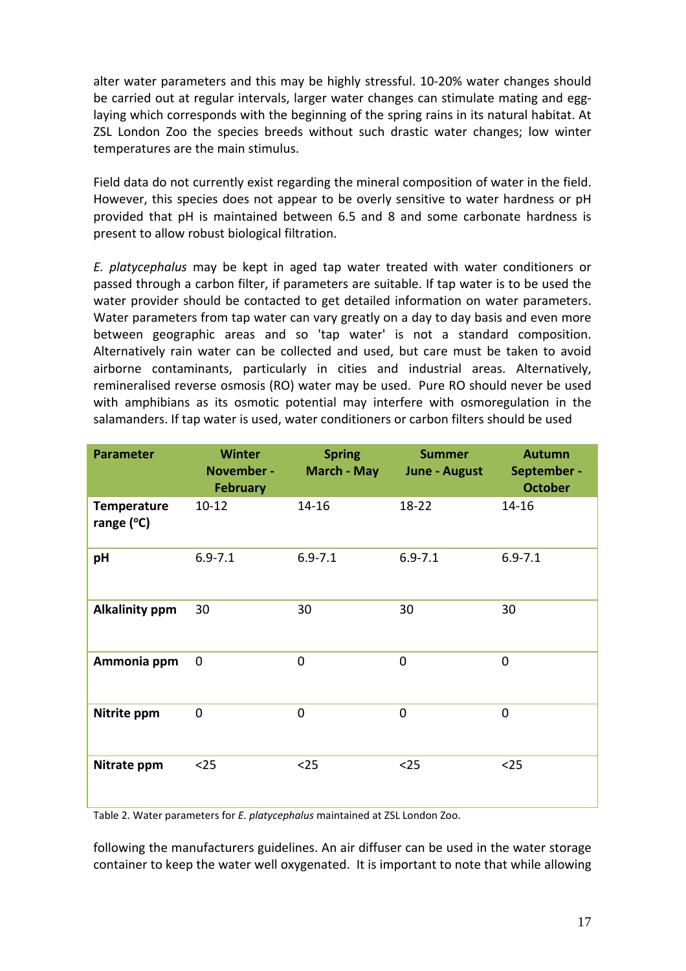alter water parameters and this may be highly stressful. 10‐20% water changes should be carried out at regular intervals, larger water changes can stimulate mating and egglaying which corresponds with the beginning of the spring rains in its natural habitat. At ZSL London Zoo the species breeds without such drastic water changes; low winter temperatures are the main stimulus.

Field data do not currently exist regarding the mineral composition of water in the field. However, this species does not appear to be overly sensitive to water hardness or pH provided that pH is maintained between 6.5 and 8 and some carbonate hardness is present to allow robust biological filtration.

*E. platycephalus* may be kept in aged tap water treated with water conditioners or passed through a carbon filter, if parameters are suitable. If tap water is to be used the water provider should be contacted to get detailed information on water parameters. Water parameters from tap water can vary greatly on a day to day basis and even more between geographic areas and so 'tap water' is not a standard composition. Alternatively rain water can be collected and used, but care must be taken to avoid airborne contaminants, particularly in cities and industrial areas. Alternatively, remineralised reverse osmosis (RO) water may be used. Pure RO should never be used with amphibians as its osmotic potential may interfere with osmoregulation in the salamanders. If tap water is used, water conditioners or carbon filters should be used

| <b>Parameter</b>                 | <b>Winter</b><br>November -<br><b>February</b> | <b>Spring</b><br>March - May | <b>Summer</b><br>June - August | <b>Autumn</b><br>September -<br><b>October</b> |
|----------------------------------|------------------------------------------------|------------------------------|--------------------------------|------------------------------------------------|
| <b>Temperature</b><br>range (°C) | $10 - 12$                                      | $14 - 16$                    | 18-22                          | $14 - 16$                                      |
| pH                               | $6.9 - 7.1$                                    | $6.9 - 7.1$                  | $6.9 - 7.1$                    | $6.9 - 7.1$                                    |
| <b>Alkalinity ppm</b>            | 30                                             | 30                           | 30                             | 30                                             |
| Ammonia ppm                      | $\mathbf 0$                                    | $\mathbf 0$                  | $\overline{0}$                 | $\overline{0}$                                 |
| Nitrite ppm                      | $\mathbf 0$                                    | $\overline{0}$               | $\overline{0}$                 | $\overline{0}$                                 |
| Nitrate ppm                      | $25$                                           | $25$                         | $25$                           | $25$                                           |

Table 2. Water parameters for *E. platycephalus* maintained at ZSL London Zoo.

following the manufacturers guidelines. An air diffuser can be used in the water storage container to keep the water well oxygenated. It is important to note that while allowing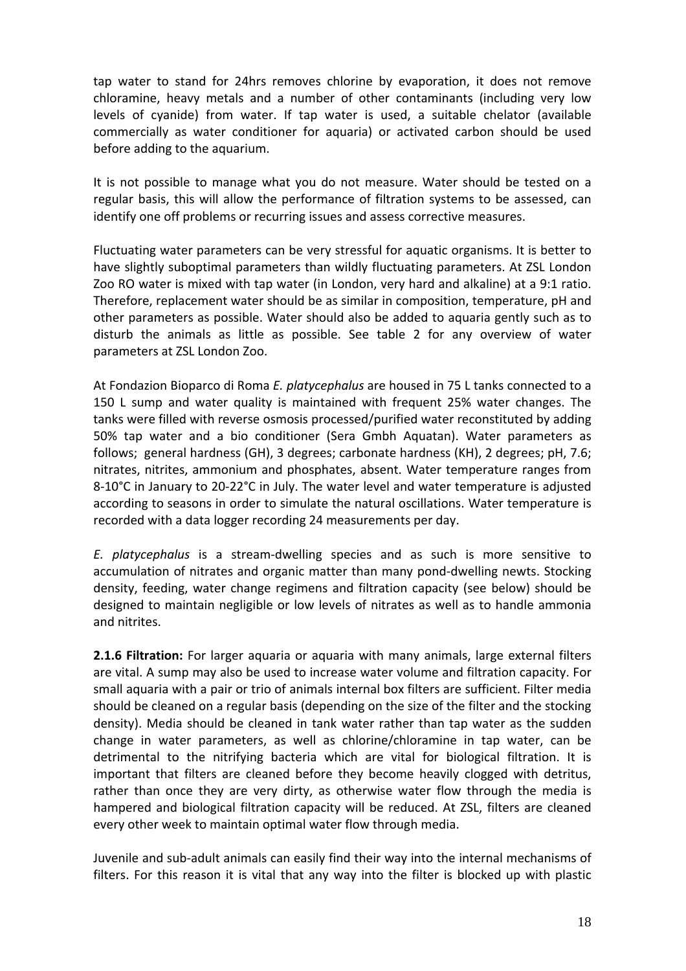tap water to stand for 24hrs removes chlorine by evaporation, it does not remove chloramine, heavy metals and a number of other contaminants (including very low levels of cyanide) from water. If tap water is used, a suitable chelator (available commercially as water conditioner for aquaria) or activated carbon should be used before adding to the aquarium.

It is not possible to manage what you do not measure. Water should be tested on a regular basis, this will allow the performance of filtration systems to be assessed, can identify one off problems or recurring issues and assess corrective measures.

Fluctuating water parameters can be very stressful for aquatic organisms. It is better to have slightly suboptimal parameters than wildly fluctuating parameters. At ZSL London Zoo RO water is mixed with tap water (in London, very hard and alkaline) at a 9:1 ratio. Therefore, replacement water should be as similar in composition, temperature, pH and other parameters as possible. Water should also be added to aquaria gently such as to disturb the animals as little as possible. See table 2 for any overview of water parameters at ZSL London Zoo.

At Fondazion Bioparco di Roma *E. platycephalus* are housed in 75 L tanks connected to a 150 L sump and water quality is maintained with frequent 25% water changes. The tanks were filled with reverse osmosis processed/purified water reconstituted by adding 50% tap water and a bio conditioner (Sera Gmbh Aquatan). Water parameters as follows; general hardness (GH), 3 degrees; carbonate hardness (KH), 2 degrees; pH, 7.6; nitrates, nitrites, ammonium and phosphates, absent. Water temperature ranges from 8‐10°C in January to 20‐22°C in July. The water level and water temperature is adjusted according to seasons in order to simulate the natural oscillations. Water temperature is recorded with a data logger recording 24 measurements per day.

*E. platycephalus* is a stream‐dwelling species and as such is more sensitive to accumulation of nitrates and organic matter than many pond‐dwelling newts. Stocking density, feeding, water change regimens and filtration capacity (see below) should be designed to maintain negligible or low levels of nitrates as well as to handle ammonia and nitrites.

**2.1.6 Filtration:** For larger aquaria or aquaria with many animals, large external filters are vital. A sump may also be used to increase water volume and filtration capacity. For small aquaria with a pair or trio of animals internal box filters are sufficient. Filter media should be cleaned on a regular basis (depending on the size of the filter and the stocking density). Media should be cleaned in tank water rather than tap water as the sudden change in water parameters, as well as chlorine/chloramine in tap water, can be detrimental to the nitrifying bacteria which are vital for biological filtration. It is important that filters are cleaned before they become heavily clogged with detritus, rather than once they are very dirty, as otherwise water flow through the media is hampered and biological filtration capacity will be reduced. At ZSL, filters are cleaned every other week to maintain optimal water flow through media.

Juvenile and sub‐adult animals can easily find their way into the internal mechanisms of filters. For this reason it is vital that any way into the filter is blocked up with plastic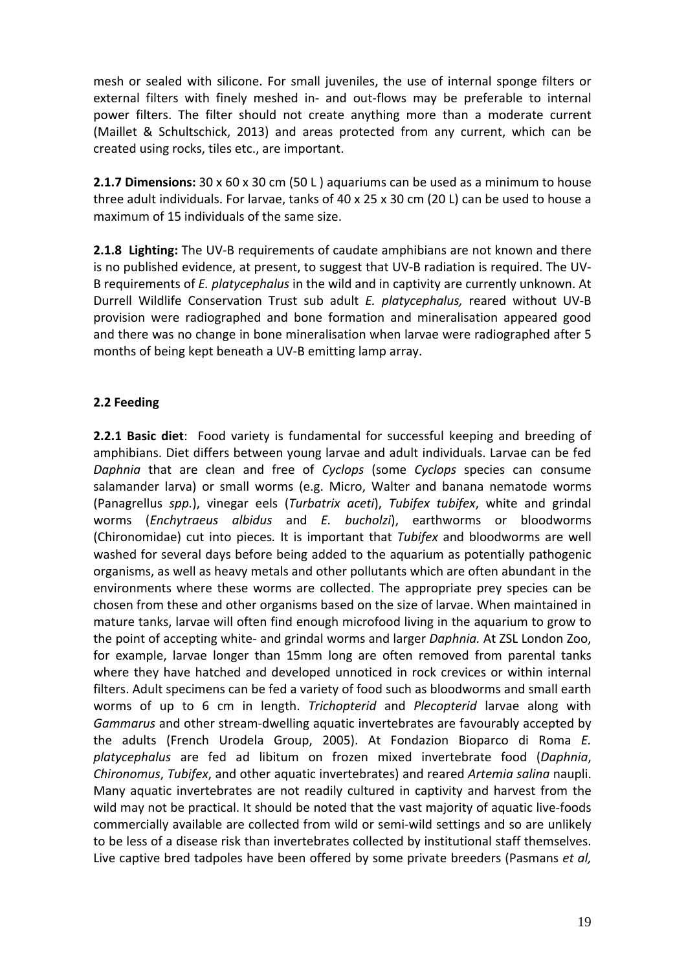mesh or sealed with silicone. For small juveniles, the use of internal sponge filters or external filters with finely meshed in‐ and out‐flows may be preferable to internal power filters. The filter should not create anything more than a moderate current (Maillet & Schultschick, 2013) and areas protected from any current, which can be created using rocks, tiles etc., are important.

**2.1.7 Dimensions:** 30 x 60 x 30 cm (50 L ) aquariums can be used as a minimum to house three adult individuals. For larvae, tanks of 40 x 25 x 30 cm (20 L) can be used to house a maximum of 15 individuals of the same size.

**2.1.8 Lighting:** The UV‐B requirements of caudate amphibians are not known and there is no published evidence, at present, to suggest that UV‐B radiation is required. The UV‐ B requirements of *E. platycephalus* in the wild and in captivity are currently unknown. At Durrell Wildlife Conservation Trust sub adult *E. platycephalus,* reared without UV‐B provision were radiographed and bone formation and mineralisation appeared good and there was no change in bone mineralisation when larvae were radiographed after 5 months of being kept beneath a UV‐B emitting lamp array.

## **2.2 Feeding**

**2.2.1 Basic diet**: Food variety is fundamental for successful keeping and breeding of amphibians. Diet differs between young larvae and adult individuals. Larvae can be fed *Daphnia* that are clean and free of *Cyclops* (some *Cyclops* species can consume salamander larva) or small worms (e.g. Micro, Walter and banana nematode worms (Panagrellus *spp.*), vinegar eels (*Turbatrix aceti*), *Tubifex tubifex*, white and grindal worms (*Enchytraeus albidus* and *E. bucholzi*), earthworms or bloodworms (Chironomidae) cut into pieces*.* It is important that *Tubifex* and bloodworms are well washed for several days before being added to the aquarium as potentially pathogenic organisms, as well as heavy metals and other pollutants which are often abundant in the environments where these worms are collected. The appropriate prey species can be chosen from these and other organisms based on the size of larvae. When maintained in mature tanks, larvae will often find enough microfood living in the aquarium to grow to the point of accepting white‐ and grindal worms and larger *Daphnia.* At ZSL London Zoo, for example, larvae longer than 15mm long are often removed from parental tanks where they have hatched and developed unnoticed in rock crevices or within internal filters. Adult specimens can be fed a variety of food such as bloodworms and small earth worms of up to 6 cm in length. *Trichopterid* and *Plecopterid* larvae along with *Gammarus* and other stream‐dwelling aquatic invertebrates are favourably accepted by the adults (French Urodela Group, 2005). At Fondazion Bioparco di Roma *E. platycephalus* are fed ad libitum on frozen mixed invertebrate food (*Daphnia*, *Chironomus*, *Tubifex*, and other aquatic invertebrates) and reared *Artemia salina* naupli. Many aquatic invertebrates are not readily cultured in captivity and harvest from the wild may not be practical. It should be noted that the vast majority of aquatic live‐foods commercially available are collected from wild or semi-wild settings and so are unlikely to be less of a disease risk than invertebrates collected by institutional staff themselves. Live captive bred tadpoles have been offered by some private breeders (Pasmans *et al,*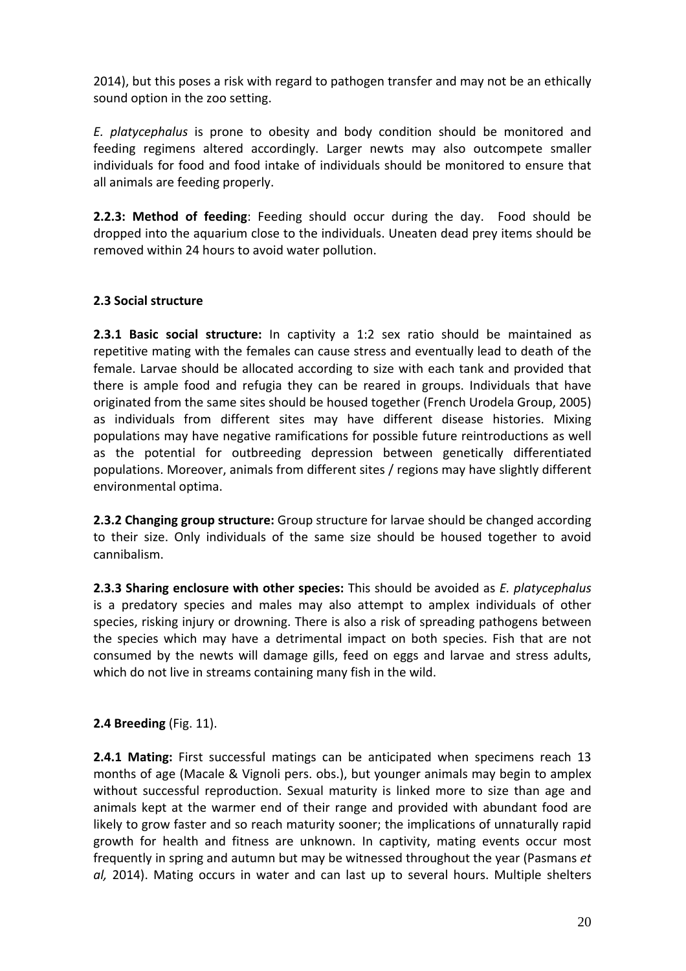2014), but this poses a risk with regard to pathogen transfer and may not be an ethically sound option in the zoo setting.

*E. platycephalus* is prone to obesity and body condition should be monitored and feeding regimens altered accordingly. Larger newts may also outcompete smaller individuals for food and food intake of individuals should be monitored to ensure that all animals are feeding properly.

**2.2.3: Method of feeding**: Feeding should occur during the day. Food should be dropped into the aquarium close to the individuals. Uneaten dead prey items should be removed within 24 hours to avoid water pollution.

## **2.3 Social structure**

**2.3.1 Basic social structure:** In captivity a 1:2 sex ratio should be maintained as repetitive mating with the females can cause stress and eventually lead to death of the female. Larvae should be allocated according to size with each tank and provided that there is ample food and refugia they can be reared in groups. Individuals that have originated from the same sites should be housed together (French Urodela Group, 2005) as individuals from different sites may have different disease histories. Mixing populations may have negative ramifications for possible future reintroductions as well as the potential for outbreeding depression between genetically differentiated populations. Moreover, animals from different sites / regions may have slightly different environmental optima.

**2.3.2 Changing group structure:** Group structure for larvae should be changed according to their size. Only individuals of the same size should be housed together to avoid cannibalism.

**2.3.3 Sharing enclosure with other species:** This should be avoided as *E. platycephalus* is a predatory species and males may also attempt to amplex individuals of other species, risking injury or drowning. There is also a risk of spreading pathogens between the species which may have a detrimental impact on both species. Fish that are not consumed by the newts will damage gills, feed on eggs and larvae and stress adults, which do not live in streams containing many fish in the wild.

## **2.4 Breeding** (Fig. 11).

**2.4.1 Mating:** First successful matings can be anticipated when specimens reach 13 months of age (Macale & Vignoli pers. obs.), but younger animals may begin to amplex without successful reproduction. Sexual maturity is linked more to size than age and animals kept at the warmer end of their range and provided with abundant food are likely to grow faster and so reach maturity sooner; the implications of unnaturally rapid growth for health and fitness are unknown. In captivity, mating events occur most frequently in spring and autumn but may be witnessed throughout the year (Pasmans *et al,* 2014). Mating occurs in water and can last up to several hours. Multiple shelters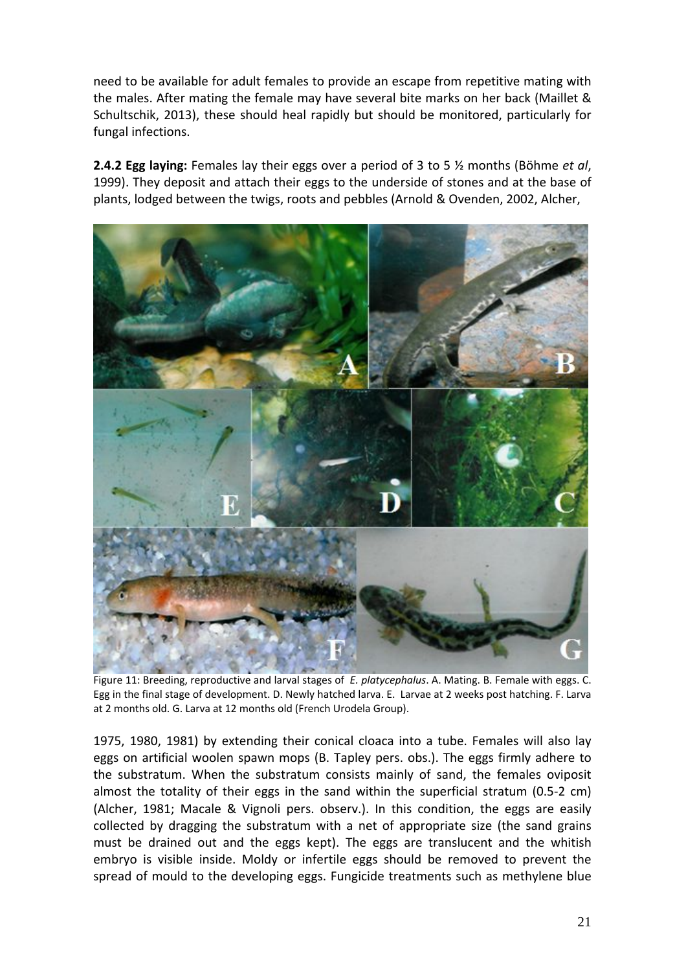need to be available for adult females to provide an escape from repetitive mating with the males. After mating the female may have several bite marks on her back (Maillet & Schultschik, 2013), these should heal rapidly but should be monitored, particularly for fungal infections.

**2.4.2 Egg laying:** Females lay their eggs over a period of 3 to 5 ½ months (Böhme *et al*, 1999). They deposit and attach their eggs to the underside of stones and at the base of plants, lodged between the twigs, roots and pebbles (Arnold & Ovenden, 2002, Alcher,



Figure 11: Breeding, reproductive and larval stages of *E. platycephalus*. A. Mating. B. Female with eggs. C. Egg in the final stage of development. D. Newly hatched larva. E. Larvae at 2 weeks post hatching. F. Larva at 2 months old. G. Larva at 12 months old (French Urodela Group).

1975, 1980, 1981) by extending their conical cloaca into a tube. Females will also lay eggs on artificial woolen spawn mops (B. Tapley pers. obs.). The eggs firmly adhere to the substratum. When the substratum consists mainly of sand, the females oviposit almost the totality of their eggs in the sand within the superficial stratum (0.5‐2 cm) (Alcher, 1981; Macale & Vignoli pers. observ.). In this condition, the eggs are easily collected by dragging the substratum with a net of appropriate size (the sand grains must be drained out and the eggs kept). The eggs are translucent and the whitish embryo is visible inside. Moldy or infertile eggs should be removed to prevent the spread of mould to the developing eggs. Fungicide treatments such as methylene blue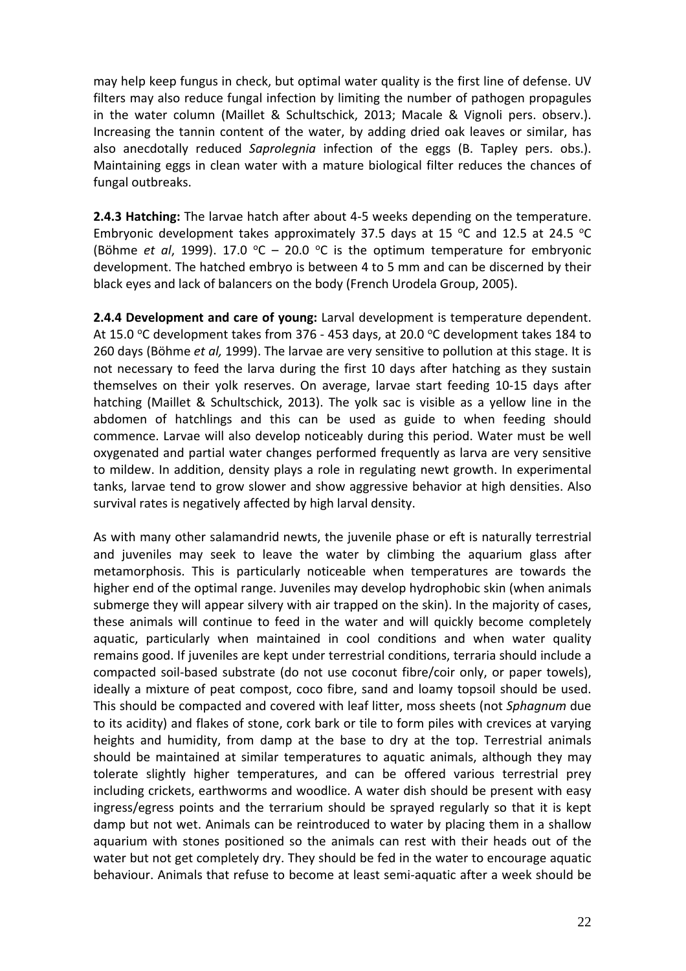may help keep fungus in check, but optimal water quality is the first line of defense. UV filters may also reduce fungal infection by limiting the number of pathogen propagules in the water column (Maillet & Schultschick, 2013; Macale & Vignoli pers. observ.). Increasing the tannin content of the water, by adding dried oak leaves or similar, has also anecdotally reduced *Saprolegnia* infection of the eggs (B. Tapley pers. obs.). Maintaining eggs in clean water with a mature biological filter reduces the chances of fungal outbreaks.

**2.4.3 Hatching:** The larvae hatch after about 4‐5 weeks depending on the temperature. Embryonic development takes approximately 37.5 days at 15  $\degree$ C and 12.5 at 24.5  $\degree$ C (Böhme *et al*, 1999). 17.0 °C – 20.0 °C is the optimum temperature for embryonic development. The hatched embryo is between 4 to 5 mm and can be discerned by their black eyes and lack of balancers on the body (French Urodela Group, 2005).

**2.4.4 Development and care of young:** Larval development is temperature dependent. At 15.0  $\degree$ C development takes from 376 - 453 days, at 20.0  $\degree$ C development takes 184 to 260 days (Böhme *et al,* 1999). The larvae are very sensitive to pollution at this stage. It is not necessary to feed the larva during the first 10 days after hatching as they sustain themselves on their yolk reserves. On average, larvae start feeding 10‐15 days after hatching (Maillet & Schultschick, 2013). The yolk sac is visible as a yellow line in the abdomen of hatchlings and this can be used as guide to when feeding should commence. Larvae will also develop noticeably during this period. Water must be well oxygenated and partial water changes performed frequently as larva are very sensitive to mildew. In addition, density plays a role in regulating newt growth. In experimental tanks, larvae tend to grow slower and show aggressive behavior at high densities. Also survival rates is negatively affected by high larval density.

As with many other salamandrid newts, the juvenile phase or eft is naturally terrestrial and juveniles may seek to leave the water by climbing the aquarium glass after metamorphosis. This is particularly noticeable when temperatures are towards the higher end of the optimal range. Juveniles may develop hydrophobic skin (when animals submerge they will appear silvery with air trapped on the skin). In the majority of cases, these animals will continue to feed in the water and will quickly become completely aquatic, particularly when maintained in cool conditions and when water quality remains good. If juveniles are kept under terrestrial conditions, terraria should include a compacted soil‐based substrate (do not use coconut fibre/coir only, or paper towels), ideally a mixture of peat compost, coco fibre, sand and loamy topsoil should be used. This should be compacted and covered with leaf litter, moss sheets (not *Sphagnum* due to its acidity) and flakes of stone, cork bark or tile to form piles with crevices at varying heights and humidity, from damp at the base to dry at the top. Terrestrial animals should be maintained at similar temperatures to aquatic animals, although they may tolerate slightly higher temperatures, and can be offered various terrestrial prey including crickets, earthworms and woodlice. A water dish should be present with easy ingress/egress points and the terrarium should be sprayed regularly so that it is kept damp but not wet. Animals can be reintroduced to water by placing them in a shallow aquarium with stones positioned so the animals can rest with their heads out of the water but not get completely dry. They should be fed in the water to encourage aquatic behaviour. Animals that refuse to become at least semi‐aquatic after a week should be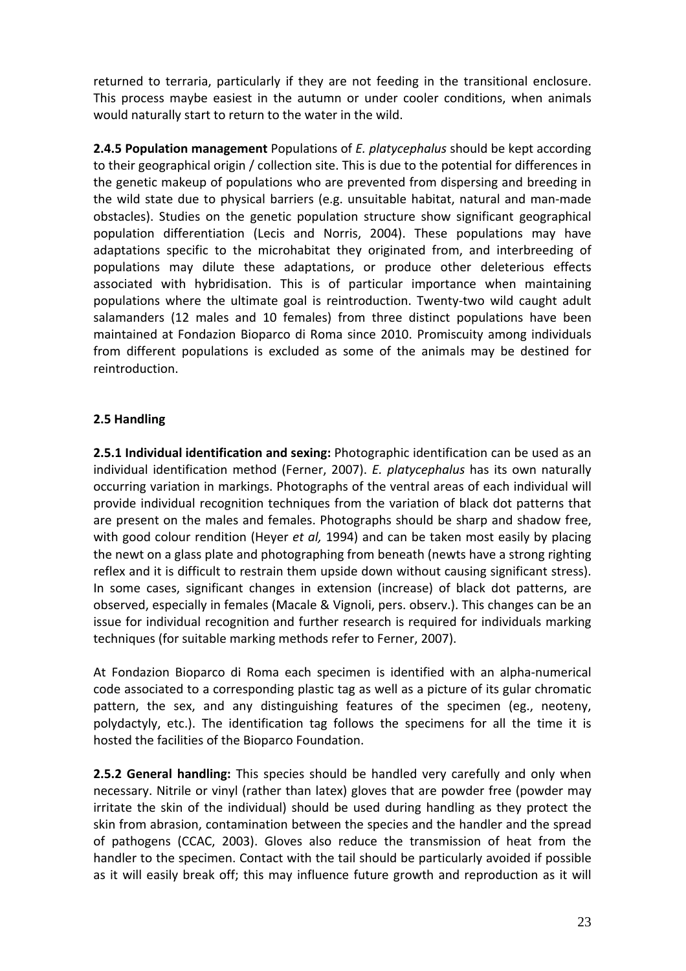returned to terraria, particularly if they are not feeding in the transitional enclosure. This process maybe easiest in the autumn or under cooler conditions, when animals would naturally start to return to the water in the wild.

**2.4.5 Population management** Populations of *E. platycephalus* should be kept according to their geographical origin / collection site. This is due to the potential for differences in the genetic makeup of populations who are prevented from dispersing and breeding in the wild state due to physical barriers (e.g. unsuitable habitat, natural and man‐made obstacles). Studies on the genetic population structure show significant geographical population differentiation (Lecis and Norris, 2004). These populations may have adaptations specific to the microhabitat they originated from, and interbreeding of populations may dilute these adaptations, or produce other deleterious effects associated with hybridisation. This is of particular importance when maintaining populations where the ultimate goal is reintroduction. Twenty‐two wild caught adult salamanders (12 males and 10 females) from three distinct populations have been maintained at Fondazion Bioparco di Roma since 2010. Promiscuity among individuals from different populations is excluded as some of the animals may be destined for reintroduction.

## **2.5 Handling**

**2.5.1 Individual identification and sexing:** Photographic identification can be used as an individual identification method (Ferner, 2007). *E. platycephalus* has its own naturally occurring variation in markings. Photographs of the ventral areas of each individual will provide individual recognition techniques from the variation of black dot patterns that are present on the males and females. Photographs should be sharp and shadow free, with good colour rendition (Heyer *et al,* 1994) and can be taken most easily by placing the newt on a glass plate and photographing from beneath (newts have a strong righting reflex and it is difficult to restrain them upside down without causing significant stress). In some cases, significant changes in extension (increase) of black dot patterns, are observed, especially in females (Macale & Vignoli, pers. observ.). This changes can be an issue for individual recognition and further research is required for individuals marking techniques (for suitable marking methods refer to Ferner, 2007).

At Fondazion Bioparco di Roma each specimen is identified with an alpha‐numerical code associated to a corresponding plastic tag as well as a picture of its gular chromatic pattern, the sex, and any distinguishing features of the specimen (eg., neoteny, polydactyly, etc.). The identification tag follows the specimens for all the time it is hosted the facilities of the Bioparco Foundation.

**2.5.2 General handling:** This species should be handled very carefully and only when necessary. Nitrile or vinyl (rather than latex) gloves that are powder free (powder may irritate the skin of the individual) should be used during handling as they protect the skin from abrasion, contamination between the species and the handler and the spread of pathogens (CCAC, 2003). Gloves also reduce the transmission of heat from the handler to the specimen. Contact with the tail should be particularly avoided if possible as it will easily break off; this may influence future growth and reproduction as it will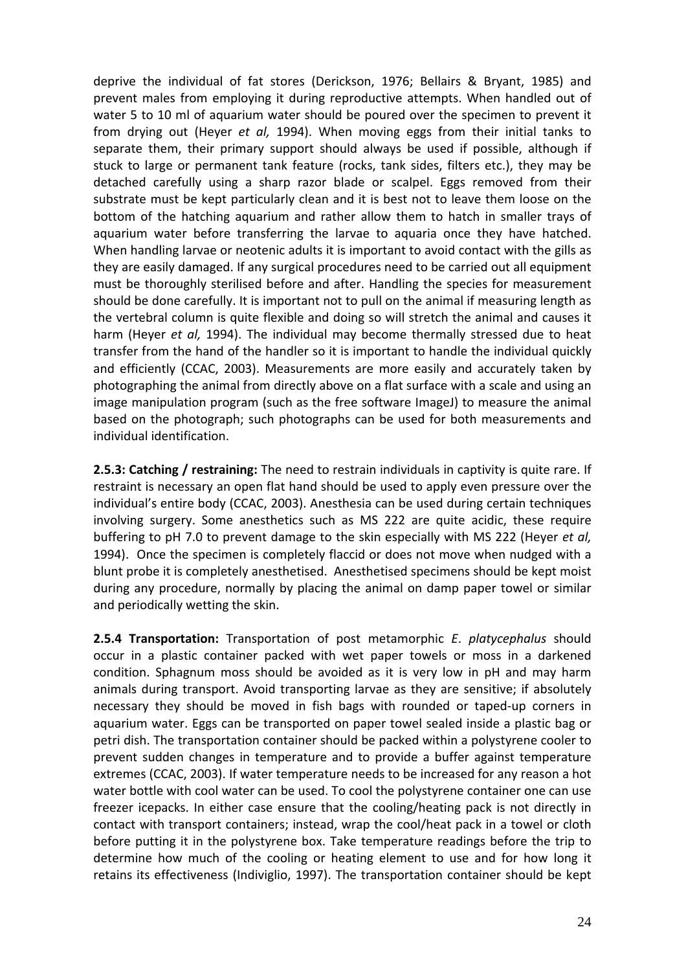deprive the individual of fat stores (Derickson, 1976; Bellairs & Bryant, 1985) and prevent males from employing it during reproductive attempts. When handled out of water 5 to 10 ml of aquarium water should be poured over the specimen to prevent it from drying out (Heyer *et al,* 1994). When moving eggs from their initial tanks to separate them, their primary support should always be used if possible, although if stuck to large or permanent tank feature (rocks, tank sides, filters etc.), they may be detached carefully using a sharp razor blade or scalpel. Eggs removed from their substrate must be kept particularly clean and it is best not to leave them loose on the bottom of the hatching aquarium and rather allow them to hatch in smaller trays of aquarium water before transferring the larvae to aquaria once they have hatched. When handling larvae or neotenic adults it is important to avoid contact with the gills as they are easily damaged. If any surgical procedures need to be carried out all equipment must be thoroughly sterilised before and after. Handling the species for measurement should be done carefully. It is important not to pull on the animal if measuring length as the vertebral column is quite flexible and doing so will stretch the animal and causes it harm (Heyer *et al,* 1994). The individual may become thermally stressed due to heat transfer from the hand of the handler so it is important to handle the individual quickly and efficiently (CCAC, 2003). Measurements are more easily and accurately taken by photographing the animal from directly above on a flat surface with a scale and using an image manipulation program (such as the free software ImageJ) to measure the animal based on the photograph; such photographs can be used for both measurements and individual identification.

**2.5.3: Catching / restraining:** The need to restrain individuals in captivity is quite rare. If restraint is necessary an open flat hand should be used to apply even pressure over the individual's entire body (CCAC, 2003). Anesthesia can be used during certain techniques involving surgery. Some anesthetics such as MS 222 are quite acidic, these require buffering to pH 7.0 to prevent damage to the skin especially with MS 222 (Heyer *et al,* 1994). Once the specimen is completely flaccid or does not move when nudged with a blunt probe it is completely anesthetised. Anesthetised specimens should be kept moist during any procedure, normally by placing the animal on damp paper towel or similar and periodically wetting the skin.

**2.5.4 Transportation:** Transportation of post metamorphic *E*. *platycephalus* should occur in a plastic container packed with wet paper towels or moss in a darkened condition. Sphagnum moss should be avoided as it is very low in pH and may harm animals during transport. Avoid transporting larvae as they are sensitive; if absolutely necessary they should be moved in fish bags with rounded or taped‐up corners in aquarium water. Eggs can be transported on paper towel sealed inside a plastic bag or petri dish. The transportation container should be packed within a polystyrene cooler to prevent sudden changes in temperature and to provide a buffer against temperature extremes (CCAC, 2003). If water temperature needs to be increased for any reason a hot water bottle with cool water can be used. To cool the polystyrene container one can use freezer icepacks. In either case ensure that the cooling/heating pack is not directly in contact with transport containers; instead, wrap the cool/heat pack in a towel or cloth before putting it in the polystyrene box. Take temperature readings before the trip to determine how much of the cooling or heating element to use and for how long it retains its effectiveness (Indiviglio, 1997). The transportation container should be kept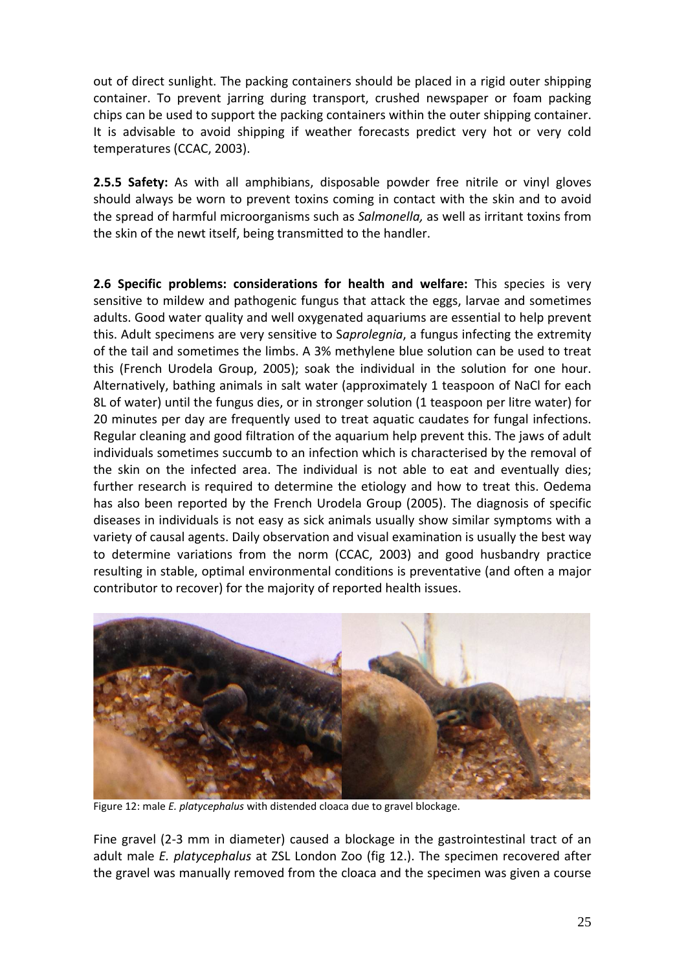out of direct sunlight. The packing containers should be placed in a rigid outer shipping container. To prevent jarring during transport, crushed newspaper or foam packing chips can be used to support the packing containers within the outer shipping container. It is advisable to avoid shipping if weather forecasts predict very hot or very cold temperatures (CCAC, 2003).

**2.5.5 Safety:** As with all amphibians, disposable powder free nitrile or vinyl gloves should always be worn to prevent toxins coming in contact with the skin and to avoid the spread of harmful microorganisms such as *Salmonella,* as well as irritant toxins from the skin of the newt itself, being transmitted to the handler.

**2.6 Specific problems: considerations for health and welfare:** This species is very sensitive to mildew and pathogenic fungus that attack the eggs, larvae and sometimes adults. Good water quality and well oxygenated aquariums are essential to help prevent this. Adult specimens are very sensitive to S*aprolegnia*, a fungus infecting the extremity of the tail and sometimes the limbs. A 3% methylene blue solution can be used to treat this (French Urodela Group, 2005); soak the individual in the solution for one hour. Alternatively, bathing animals in salt water (approximately 1 teaspoon of NaCl for each 8L of water) until the fungus dies, or in stronger solution (1 teaspoon per litre water) for 20 minutes per day are frequently used to treat aquatic caudates for fungal infections. Regular cleaning and good filtration of the aquarium help prevent this. The jaws of adult individuals sometimes succumb to an infection which is characterised by the removal of the skin on the infected area. The individual is not able to eat and eventually dies; further research is required to determine the etiology and how to treat this. Oedema has also been reported by the French Urodela Group (2005). The diagnosis of specific diseases in individuals is not easy as sick animals usually show similar symptoms with a variety of causal agents. Daily observation and visual examination is usually the best way to determine variations from the norm (CCAC, 2003) and good husbandry practice resulting in stable, optimal environmental conditions is preventative (and often a major contributor to recover) for the majority of reported health issues.



Figure 12: male *E. platycephalus* with distended cloaca due to gravel blockage.

Fine gravel (2-3 mm in diameter) caused a blockage in the gastrointestinal tract of an adult male *E. platycephalus* at ZSL London Zoo (fig 12.). The specimen recovered after the gravel was manually removed from the cloaca and the specimen was given a course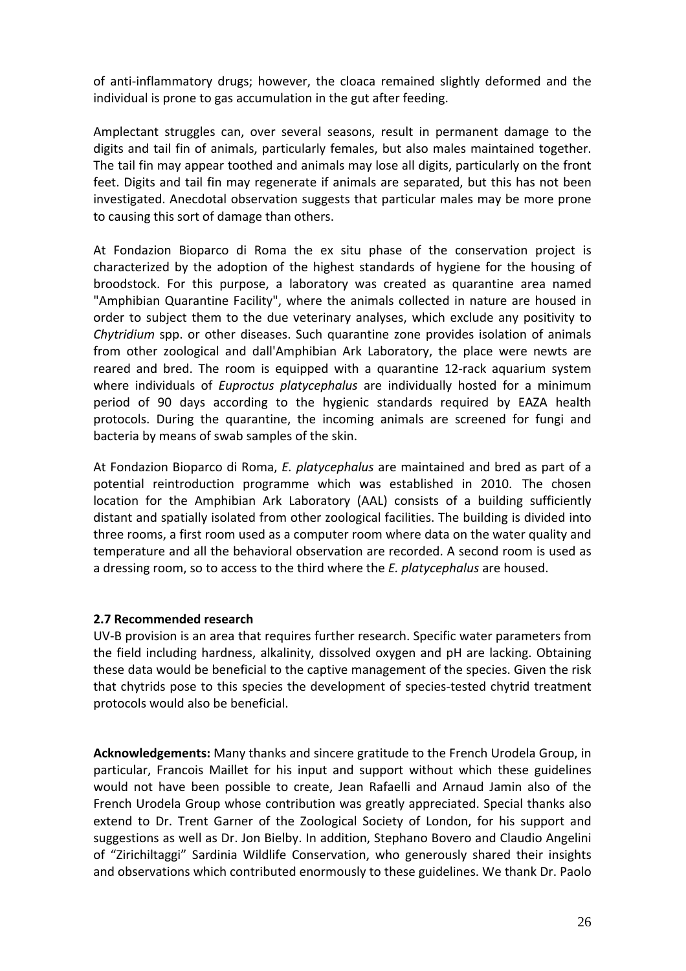of anti‐inflammatory drugs; however, the cloaca remained slightly deformed and the individual is prone to gas accumulation in the gut after feeding.

Amplectant struggles can, over several seasons, result in permanent damage to the digits and tail fin of animals, particularly females, but also males maintained together. The tail fin may appear toothed and animals may lose all digits, particularly on the front feet. Digits and tail fin may regenerate if animals are separated, but this has not been investigated. Anecdotal observation suggests that particular males may be more prone to causing this sort of damage than others.

At Fondazion Bioparco di Roma the ex situ phase of the conservation project is characterized by the adoption of the highest standards of hygiene for the housing of broodstock. For this purpose, a laboratory was created as quarantine area named "Amphibian Quarantine Facility", where the animals collected in nature are housed in order to subject them to the due veterinary analyses, which exclude any positivity to *Chytridium* spp. or other diseases. Such quarantine zone provides isolation of animals from other zoological and dall'Amphibian Ark Laboratory, the place were newts are reared and bred. The room is equipped with a quarantine 12‐rack aquarium system where individuals of *Euproctus platycephalus* are individually hosted for a minimum period of 90 days according to the hygienic standards required by EAZA health protocols. During the quarantine, the incoming animals are screened for fungi and bacteria by means of swab samples of the skin.

At Fondazion Bioparco di Roma, *E. platycephalus* are maintained and bred as part of a potential reintroduction programme which was established in 2010. The chosen location for the Amphibian Ark Laboratory (AAL) consists of a building sufficiently distant and spatially isolated from other zoological facilities. The building is divided into three rooms, a first room used as a computer room where data on the water quality and temperature and all the behavioral observation are recorded. A second room is used as a dressing room, so to access to the third where the *E. platycephalus* are housed.

## **2.7 Recommended research**

UV‐B provision is an area that requires further research. Specific water parameters from the field including hardness, alkalinity, dissolved oxygen and pH are lacking. Obtaining these data would be beneficial to the captive management of the species. Given the risk that chytrids pose to this species the development of species‐tested chytrid treatment protocols would also be beneficial.

**Acknowledgements:** Many thanks and sincere gratitude to the French Urodela Group, in particular, Francois Maillet for his input and support without which these guidelines would not have been possible to create, Jean Rafaelli and Arnaud Jamin also of the French Urodela Group whose contribution was greatly appreciated. Special thanks also extend to Dr. Trent Garner of the Zoological Society of London, for his support and suggestions as well as Dr. Jon Bielby. In addition, Stephano Bovero and Claudio Angelini of "Zirichiltaggi" Sardinia Wildlife Conservation, who generously shared their insights and observations which contributed enormously to these guidelines. We thank Dr. Paolo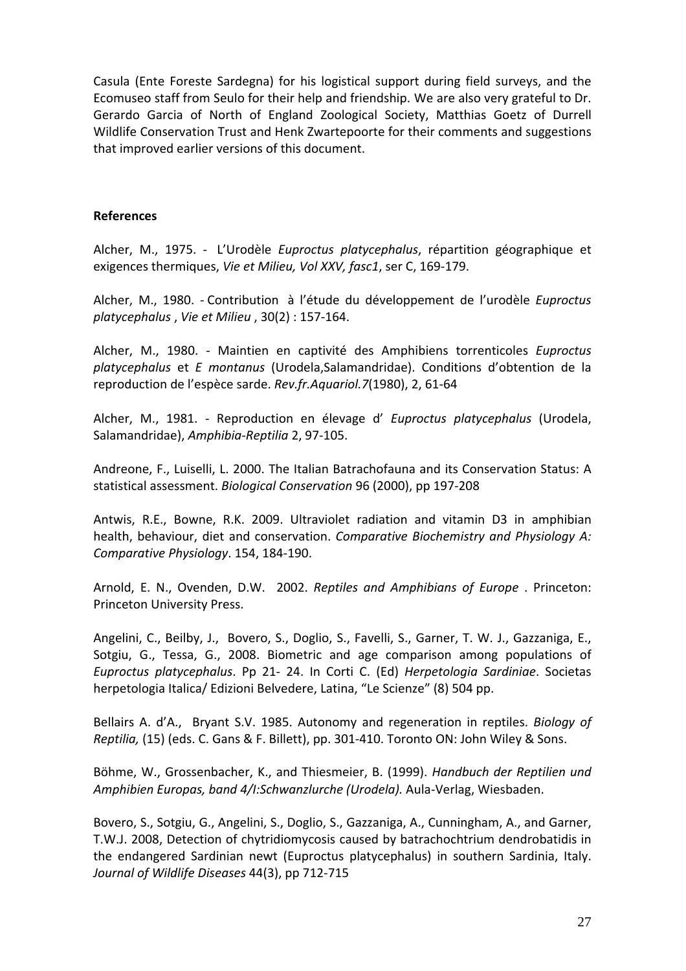Casula (Ente Foreste Sardegna) for his logistical support during field surveys, and the Ecomuseo staff from Seulo for their help and friendship. We are also very grateful to Dr. Gerardo Garcia of North of England Zoological Society, Matthias Goetz of Durrell Wildlife Conservation Trust and Henk Zwartepoorte for their comments and suggestions that improved earlier versions of this document.

#### **References**

Alcher, M., 1975. ‐ L'Urodèle *Euproctus platycephalus*, répartition géographique et exigences thermiques, *Vie et Milieu, Vol XXV, fasc1*, ser C, 169‐179.

Alcher, M., 1980. ‐ Contribution à l'étude du développement de l'urodèle *Euproctus platycephalus* , *Vie et Milieu* , 30(2) : 157‐164.

Alcher, M., 1980. ‐ Maintien en captivité des Amphibiens torrenticoles *Euproctus platycephalus* et *E montanus* (Urodela,Salamandridae). Conditions d'obtention de la reproduction de l'espèce sarde. *Rev.fr.Aquariol.7*(1980), 2, 61‐64

Alcher, M., 1981. ‐ Reproduction en élevage d' *Euproctus platycephalus* (Urodela, Salamandridae), *Amphibia‐Reptilia* 2, 97‐105.

Andreone, F., Luiselli, L. 2000. The Italian Batrachofauna and its Conservation Status: A statistical assessment. *Biological Conservation* 96 (2000), pp 197‐208

Antwis, R.E., Bowne, R.K. 2009. Ultraviolet radiation and vitamin D3 in amphibian health, behaviour, diet and conservation. *Comparative Biochemistry and Physiology A: Comparative Physiology*. 154, 184‐190.

Arnold, E. N., Ovenden, D.W. 2002. *Reptiles and Amphibians of Europe* . Princeton: Princeton University Press.

Angelini, C., Beilby, J., Bovero, S., Doglio, S., Favelli, S., Garner, T. W. J., Gazzaniga, E., Sotgiu, G., Tessa, G., 2008. Biometric and age comparison among populations of *Euproctus platycephalus*. Pp 21‐ 24. In Corti C. (Ed) *Herpetologia Sardiniae*. Societas herpetologia Italica/ Edizioni Belvedere, Latina, "Le Scienze" (8) 504 pp.

Bellairs A. d'A., Bryant S.V. 1985. Autonomy and regeneration in reptiles. *Biology of Reptilia,* (15) (eds. C. Gans & F. Billett), pp. 301‐410. Toronto ON: John Wiley & Sons.

Böhme, W., Grossenbacher, K., and Thiesmeier, B. (1999). *Handbuch der Reptilien und Amphibien Europas, band 4/I:Schwanzlurche (Urodela).* Aula‐Verlag, Wiesbaden.

Bovero, S., Sotgiu, G., Angelini, S., Doglio, S., Gazzaniga, A., Cunningham, A., and Garner, T.W.J. 2008, Detection of chytridiomycosis caused by batrachochtrium dendrobatidis in the endangered Sardinian newt (Euproctus platycephalus) in southern Sardinia, Italy. *Journal of Wildlife Diseases* 44(3), pp 712‐715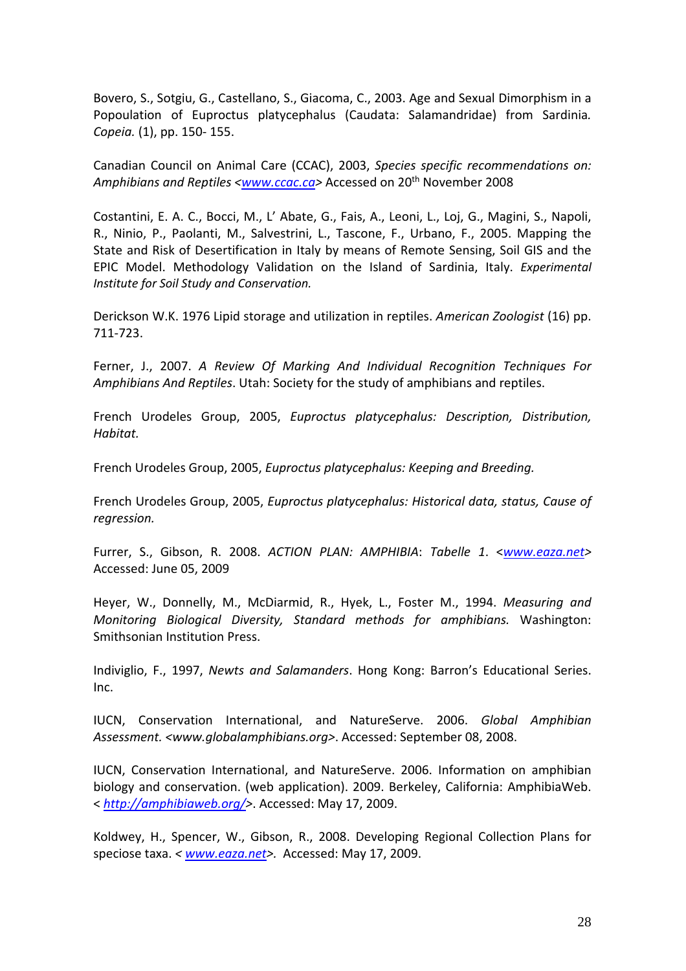Bovero, S., Sotgiu, G., Castellano, S., Giacoma, C., 2003. Age and Sexual Dimorphism in a Popoulation of Euproctus platycephalus (Caudata: Salamandridae) from Sardinia*. Copeia.* (1), pp. 150‐ 155.

Canadian Council on Animal Care (CCAC), 2003, *Species specific recommendations on: Amphibians and Reptiles <www.ccac.ca>* Accessed on 20th November 2008

Costantini, E. A. C., Bocci, M., L' Abate, G., Fais, A., Leoni, L., Loj, G., Magini, S., Napoli, R., Ninio, P., Paolanti, M., Salvestrini, L., Tascone, F., Urbano, F., 2005. Mapping the State and Risk of Desertification in Italy by means of Remote Sensing, Soil GIS and the EPIC Model. Methodology Validation on the Island of Sardinia, Italy. *Experimental Institute for Soil Study and Conservation.*

Derickson W.K. 1976 Lipid storage and utilization in reptiles. *American Zoologist* (16) pp. 711‐723.

Ferner, J., 2007. *A Review Of Marking And Individual Recognition Techniques For Amphibians And Reptiles*. Utah: Society for the study of amphibians and reptiles.

French Urodeles Group, 2005, *Euproctus platycephalus: Description, Distribution, Habitat.*

French Urodeles Group, 2005, *Euproctus platycephalus: Keeping and Breeding.*

French Urodeles Group, 2005, *Euproctus platycephalus: Historical data, status, Cause of regression.*

Furrer, S., Gibson, R. 2008. *ACTION PLAN: AMPHIBIA*: *Tabelle 1*. <*www.eaza.net>* Accessed: June 05, 2009

Heyer, W., Donnelly, M., McDiarmid, R., Hyek, L., Foster M., 1994. *Measuring and Monitoring Biological Diversity, Standard methods for amphibians.* Washington: Smithsonian Institution Press.

Indiviglio, F., 1997, *Newts and Salamanders*. Hong Kong: Barron's Educational Series. Inc.

IUCN, Conservation International, and NatureServe. 2006. *Global Amphibian Assessment. <www.globalamphibians.org>*. Accessed: September 08, 2008.

IUCN, Conservation International, and NatureServe. 2006. Information on amphibian biology and conservation. (web application). 2009. Berkeley, California: AmphibiaWeb. < *http://amphibiaweb.org/>*. Accessed: May 17, 2009.

Koldwey, H., Spencer, W., Gibson, R., 2008. Developing Regional Collection Plans for speciose taxa. *< www.eaza.net>.* Accessed: May 17, 2009.